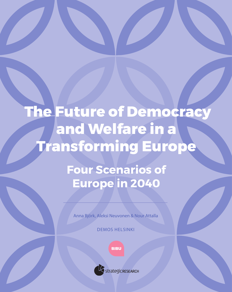# The Future of Democracy and Welfare in a Transforming Europe

Four Scenarios of Europe in 2040

Anna Björk, Aleksi Neuvonen & Nour Attalla

DEMOS HELSINKI

**BIBU** 



StrategicRESEARCH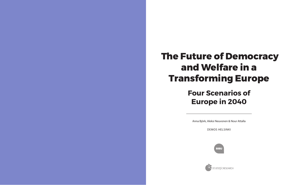Anna Björk, Aleksi Neuvonen & Nour Attalla

DEMOS HELSINKI







**strategic RESEARCH** 

# The Future of Democracy and Welfare in a Transforming Europe

## Four Scenarios of Europe in 2040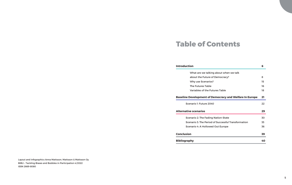## Table of Contents

### **Introduction**

What are we talking about about the Future of Demo Why use Scenarios?

The Futures Table

Variables of the Futures Table

### **Baseline Development of Democra**

Scenario 1: Future 2040

#### **Alternative scenarios**

Scenario 2: The Fading Nation Scenario 3: The Period of Succ

Scenario 4: A Hollowed Out Eu

### **Conclusion**

**Bibliography** 

Layout and infographics Anna Mattsson, Mattsson & Mattsson Oy BIBU – Tackling Biases and Bubbles in Participation 4/2022 ISSN 2669-8080

|                            | 6  |
|----------------------------|----|
| it when we talk            |    |
| ocracy?                    | 8  |
|                            | 15 |
|                            | 16 |
| able                       | 18 |
| racy and Welfare In Europe | 21 |
|                            | 22 |
|                            | 29 |
| า-State                    | 30 |
| cessful Transformation     | 33 |
| urope:                     | 36 |
|                            | 39 |
|                            | 40 |
|                            |    |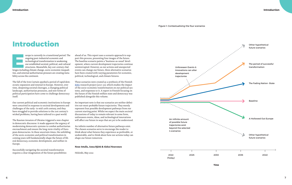### Introduction Introduction

The urspective in a transitional period. The ongoing post-industrial economic and technological transformation is weakening our established societal, political, and cultural structures. Meanwhile, key 21st-century challeng ongoing post-industrial economic and technological transformation is weakening our established societal, political, and cultural structures. Meanwhile, key 21st-century chalties, and external authoritarian pressure are creating instability across the continent.

The fall of the Iron Curtain sparked a period of rapid democratic expansion and renewal in Europe. However, over time, deepening societal cleavages, a changing political landscape, authoritarian pressures, and new forms of political participation have come to challenge democracy itself.

Our current political and economic institutions in Europe were conceived in response to societal developments and challenges of the early- to mid-20th century, and they have struggled to provide solutions to the 21st century's wicked problems, having been tailored to a past world.

The Russian invasion of Ukraine triggered a new chapter in democratic discourse: it made apparent the urgency of modernising democratic systems to combat authoritarian encroachment and ensure the long-term vitality of European democracies. In these uncertain times, the unfolding of the socio-economic and political transformation in coming years will fundamentally shape the future of liberal democracy, economic development, and welfare in Europe.

Successfully navigating the societal transformation requires a clear imagination of the future possibilities

## Introduction

ahead of us. This report uses a scenario approach to support this process, presenting four images of the future. The baseline scenario paints a 'business-as-usual' development, where current development trajectories continue uninterrupted. However, as our actions and unexpected events can change our future, three alternative scenarios have been created with varying parameters for economic, political, technological, and climate futures.

These scenarios were created as a synthesis of the Finnish BIBU research project (2017-22), which studies the impact of the socio-economic transformation on our political systems, and responses to it. A report in Finnish focusing on the future of the Finnish welfare state and democracy was published alongside this volume.

An important note is that our scenarios are neither definitive nor most-probable future trajectories. They merely represent four possible development pathways from our current starting point. Whilst we expect the main societal discussions of today to remain relevant in some form, unforeseen events, ideas, and technological innovations will affect our future in ways that are yet to be understood.

An infinite number of alternative future pathways exist. The chosen scenarios serve to encourage the reader to think about what futures they experience as preferable, or undesirable, and to think about how our actions today can shape our future tomorrow.

#### **Nour Attalla, Anna Björk & Aleksi Neuvonen**

Helsinki, May 2022



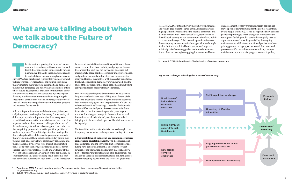The discussion regarding the future of democracy and the challenges it faces arises from different directions and in connection to various phenomena. Typically, these discussions seek to find solutions that are strongly an racy and the challenges it faces arises from different directions and in connection to various phenomena. Typically, these discussions seek to find solutions that are strongly anchored in public governance. This restricts the future possibilities that we imagine in our problem-solving. It also guides us to think about democracy as a historically determinate entity, where future developments are direct continuations of current democratic practices and structures. Restricting our thinking in this manner prevents us from imagining the spectrum of directions in which democracy could evolve if societal conditions change from current historical patterns and expected future trends.

Still, at this point in our societal development, it is especially important to reimagine democracy from a variety of different perspectives. Representative democracy as we know it has its roots in the industrial era and was created in response to the socio-economic challenges of the turn of the 20th century. As industrialisation gained pace, the relative bargaining power and collective political position of workers improved. The political parties that developed in this era largely reflected the societal groups and interests that were dominant then. Simultaneously, key public institutions, such as social welfare, compulsory education, and the professional civil service were created. These institutions, along with the newly redistributed political power, enabled the growing material wealth and wellbeing of the West to be shared among a wider part of the population. In countries where this democratising socio-economic shift was carried out successfully, such as the UK and the Netherlands, acute societal tensions and inequalities were broken down, creating long-term stability and progress. In countries where this shift was not carried out or carried out incompletely, social conflict, economic underperformance, and political instability followed, as was the case in Germany and Russia. In countries with successful transitions, trust and solidarity in democracy were generated, and the share of the population that could economically and politically participate in society strongly increased.

Ever since these early 1900's developments, we have come a long way. Academics have been talking about the end of the industrial era and the creation of a post-industrial society at least since the early 1970s, since the publication of Alain Touraine's' and Daniel Bell's<sup>2</sup> writings. The end of the industrial era has shifted the focal point of Western economies from industrial production to service provision, creating the so-called 'knowledge economy'. At the same time, societal institutions and distribution of power have also evolved, bringing with them the challenges that liberal democracies are facing today.

The transition to the post-industrial era has brought contemporary democracies challenges from two key directions:

**1. The breakdown of industrial-era economic structures is increasing societal instability.** The disappearance of blue-collar jobs and the corresponding economic restructuring have generated existential uncertainty for vast swathes of the population and brought material deprivation to formerly industrial regions. This development has shaken up the socio-economic structures of liberal democracies by creating new winners and losers in a globalised

## What are we talking about when we talk about the Future of Democracy?



era. Most OECD countries have witnessed growing income and wealth gaps since the 1970s as well. Increasing wellbeing disparities have contributed to societal discontent and disillusionment with the social welfare system created in the mid-20th century. In our current transitional era, political structures have yet failed to catch up with and correct the developing socio-economic cleavages. This has brought forth a shift in the political landscape, as working-class political parties have struggled to maintain their connection to their increasingly struggling former societal bases.

The detachment of many from mainstream politics has moved politics towards ruling for the people, rather than by the people (Mair 2013).3 It has also spawned new political parties responding to the challenges of the 21st century. Far-right or far-left populist parties have rapidly risen to capture the vote of those disgruntled by the ongoing socio-economic shift. Green and Liberal parties have been gaining ground on legacy parties as well due to societal preference shifts towards environmentalism, stronger social democracy, and social progressiveness. Together,

<sup>1</sup> Touraine, A. (1971). The post-industrial society: Tomorrow's social history: classes, conflicts and culture in the programmed society.

<sup>2</sup> Bell, D. (1973). The coming of post-industrial society: A venture in social forecasting.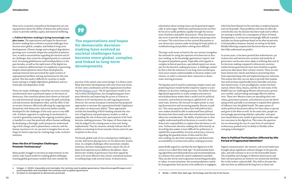these socio-economic and political developments are raising questions about the ability of democratic political processes to provide stability, equity, and material wellbeing.

**2. Political decision-making is facing increasingly com-**

**plex issues.** The expectations and hopes for democratic decision-making have evolved as societal challenges have become more global, complex, and linked to long-term developments. Climate change and ecological degradation, growing socio-economic disparities and political polarisation, as well as uncertainties regarding the internet and AI are challenges that cannot be mitigated purely at a national level. Increasing globalisation and interdependence in the past decades, as well as the rapid onset of the digital era, have created an additional layer of complexity to governing. Despite initial optimism about these developments, national interests have prevented the rapid creation of supranational problem-solving mechanisms for this new period. This has made it difficult for societies to tackle issues arising in a highly digitalised, globalised, and economically interdependent world.

These two major challenges created by our socio-economic transformation have a profound impact on the future of democracy. Past transition phases have shown us that politics and institutional change can shape the path technological and economic development takes, and the effect it has on society. However, effectively affecting the ongoing transformations with democratic and social welfare models developed for the challenges of the early 1900s is very difficult. A holistic approach to exploring its mechanisms is crucial to genuinely ensuring this ongoing transition phase is handled in a way that positively affects human wellbeing. By developing a thorough, multi-perspective understanding of this change, and its phenomena, contexts, and the human reactions to it, we can start to imagine how we can shape its future trajectory by creating large-scale, inclusive solutions.

### Does the Era of Complex Challenges Promote Technocracy?

Many people struggle to envision an improvement on the nation-state-based model for tackling global challenges. Existing global governance models that exist outside the



purview of the nation-state seem foreign. It is thence more likely that future developments will come from new forms of inter-state coordination and the organisations facilitating this <u>(Mulgan 2020</u>).<sup>4</sup> The EU governance model is central in these developments, but strengthening pan-European identities and improving the access of citizens to influence in EU mechanisms are still ongoing processes. However, the current European Commission has proposed approaches to increase the supranational body's legitimacy and reduce its democratic deficit.5 These approaches include the funnelling of R&D funding towards the creation of legitimacy and participatory models, as well as expanding the role of democratic participation in EU-level decision-making processes. The impact of these steps can only be judged in the coming years as they start being implemented. They do, however, already indicate that EU politics is orienting its focus towards citizens and civic participation in the 2020s.

The broad, global scale of our contemporary challenges is not the only factor placing stress on our democratic institutions. As complex challenges often necessitate complex solutions, decision-making processes require the use of deep-level expertise across different disciplines. Open, democratic models of governance have been argued by some to be more effective than closed, centralised systems in tackling large-scale societal issues. In democracies,

The expectations and hopes for democratic decisionmaking have evolved as societal challenges have become more global, complex, and linked to long-term developments.

information about arising issues can be generated organically at early stages. Politicians and bureaucracies can then be forced to tackle problems rapidly through the interactions of politics and public discussions. These discussions also serve to provide alternative solutions and perspectives on issues. The restrictions on free societal discussions in non-democratic systems make involving the body politic in troubleshooting and problem-solving more difficult.

The large-scale issues at hand in the 21st century strengthen the rationale for using the expertise of technocrats in decision-making, as the knowledge gap between 'experts' and the general population grows. Especially with regards to complex technical questions, specialised experts are necessary for the decision-making processes. A challenge created by this is that the solutions to our long-term societal questions must remain understandable to decision-makers and citizens, in order to maintain their connection to democratic steering processes.

The big data and AI used for analysing complex issues and predicting future trends further empower experts to exert influence in decision-making processes. The ability of these digitalised approaches to study complex and interconnected phenomena makes them a useful tool for political, economic, and technical steering at a global level. At the same time, however, the increase in expert power is creating disconnection and increasing popular distrust in politics. This raises questions about how well political decision-makers should be able to understand how political decisions have been made and what information has been taken into consideration. The ability of politicians to thoroughly understand political decisions is crucial to their democratic responsibility to explain these decisions to citizens. Technocratic decision-making that relies heavily on AI and big data makes it more difficult for politicians to uphold this responsibility. Security and privacy concerns regarding the guarded nature of data used for decision-making can also limit transparency and democratic accountability in technocratic policy-making processes.

James Bridle argued in 2018 that the new digital era in the 2000s is a so-called 'New Dark Age'.6 AI and machine learning algorithms provided predictions and recommendations in a manner that cannot be a priori explained or justified. They can also not be used to generate overarching principles or values. In some situations, the recommendations created by AI programmes have proven to be ineffective or negligent, which has been blamed on the used data or analytical parameters set by people. These problems with data are often discovered only once the decision has been made and its effects are starting to unfold. As a consequence of these AI-based developments, it can become increasingly difficult to predict and plan our future pathways based on he what we perceive to be desirable as humans. Instead, we end up in the dark, blindly following computerised decisions that we can neither fully understand nor predict.

In recent years, it has been posited that authoritarian, yet technocratic and meritocratic societies and methods of governance can become more adept at utilising data and AI for decision-making compared to democratic societies. Authoritarian governments have more freedom to gather and access data about their citizens' actions. There are also fewer democratic checks and balances preventing them from experimenting with and implementing new solutions. This means that they can use data to provide their population with (at least superficially) more desirable outcomes than democracies. A new paradigmatic contest has been started, where China, Russia, and the oil-rich states of the Middle East are challenging Western democracies' governance models, and providing seemingly effective alternatives. These non-Western states are spreading their own values, governance systems, and solutions across the developing world, partially in an attempt to expand their spheres of influence into the global South. The open nature of online political discussions allows for these ideas to spread and grow in the West as well. At the same time, people are increasingly questioning whether a plurality- and openness-based democratic model of governance provides superior outcomes in the digital era. This raises the question: Are we witnessing the rise of a new form of centralised technocracy, pushed on by its ability to flexibly utilise emerging technologies?

### How is Political Participation Affected by this Period of Fragmented Identities?

Digital communication, the internet, and social media have brought about significant cultural changes in the past decades, and will continue to do so in the foreseeable future. The instability and changes in Western democracies and their self-perceptions are however not exclusively attributable to this techno-cultural shift. This shift in the past decades has been an additional driving force in these new

<sup>4</sup> Mulgan, G. (2020). Impossible and inevitable: the twisting road to global governance. https://www.geoffmulgan.com/ post/impossible-and-inevitable-the-twisting-road-to-global-governance

<sup>5</sup> EU plans to reinvigorate its democratic processes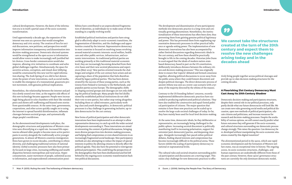cultural developments. However, the dawn of the information era is in itself a partial cause of the socio-economic transformation.

Until approximately a decade ago, the expansion of the internet was seen as a process that would strengthen democracy and civic society. The creation of fora for societal discussions, new petitions, and perspectives would improve information transparency and dissemination into decision-making processes. Democratic electoral systems would be strengthened as the open access to information would allow voters to make increasingly well-justified ballot choices. Cross-border communication would also improve, allowing civic initiatives to coordinate and solve global challenges together. Simultaneously, the space for secretive actions, corruption, and closed-door lobbying would be constrained by this new tool for rapid information sharing. The Arab Spring of 2011 did in fact demonstrate the power of new innovations, such as social media, to enable the emergence of a transnational, grassroots protest movement, with genuine political implications.

Nonetheless, the relationship between the internet and politics slowly soured over time, as the negative side effects of this new technology became apparent: People were increasingly being placed in echo chambers with their like-minded peers and shown self-reaffirming and biassed news stories from questionable sources. At the same time, governments, corporations, and other actors quickly caught on to using the internet to spread harmful disinformation, inflamate cleavages between societal groups, and systematically shape people's worldviews.

As the abovementioned developments took place, the demographic structures and populations of Western countries were diversifying at a rapid rate. Increased life expectancies allowed older people to become more active participants in society alongside the traditionally active younger generations. In almost all Western countries immigration flows have grown in recent decades, contributing to ethnic diversity, and challenging traditional notions of national identity. Global economic pressures have also been primarily focused on large cities, increasing wellbeing and wealth disparities between metropolitan and rural areas. Hyperconsumerism, easier movement of people, unlimited access to information, and unprecedented communication possibilities have contributed to an unprecedented fragmentation of identities, as individuals try to make sense of their standing in a rapidly evolving world.

Established political institutions and parties have struggled to effectively adapt to socio-economic transitions, the fragmentation of identities, and the challenges and opportunities created by the internet. Representative democracy in most countries is focused on resolving issues revolving around material economic interests: social welfare, healthcare and other public services, infrastructure, and economic interventions. As traditional political parties are working primarily at this traditional material-economic level, they are increasingly becoming detached from their civic bases and their new societal phenomena and experiences (Mair 2013).7 New parties oriented towards the challenges and zeitgeist of the 21st century have arisen and are capturing a share of the population that feels disenfranchised by legacy political parties. This has been demonstrated by the success of these young parties, such as the Greens from Finland to Germany to the Netherlands, and populist parties across Europe. The demographic shifts re-shaping societal groups and cleavages are not only shifting the political landscape. Many people that feel disillusioned by established political institutions do not shift their vote to new parties, but rather stop voting altogether. Including these so-called retreaters, particularly working-class and youth demographics, in democratic political processes is a key challenge in generating inclusive, up-todate democracies for the 21st century.

New forms of political participation and other democratic innovations have been implemented in an attempt to allow representative democracy to catch up with the wider societal developments surrounding it. These innovations are aimed at reinventing the content of political discussions, bringing more diverse perspectives into decision-making processes, and helping find compromises or even shared interests in an increasingly fragmented social landscape. New participatory methods are also attempting to reduce the impact of special interests in politics by allowing citizens to directly affect the political agenda. They also have the potential to reinvigorate political participation. This could bring the perspectives of the demographics that have been disillusioned and feel left behind by the ongoing socio-economic transformation back into political discussions.

The development and dissemination of new participatory methods into democratic practice is a long-term and continually growing phenomenon. Nonetheless, the institutionalisation of these innovations has often been slow, thus preventing them from gaining genuine political legitimacy and power. This has prevented them from supplanting representative democratic processes in either practical influence or agenda-setting power. The implementation of new democratic innovations has also been accompanied by rather limited discussions regarding democratic ideals in the 21st century, and how these should be practically brought to life in the coming decades. Historian John Dunn in 2006 argued that the ideals of modern nation-statebased democracy, based in part on the US constitution, deliberately introduces distance between the ordinary citizen and decision-making processes.8 This was originally done to ensure that 'experts' debated and formed consensus together, allowing political discussions to occur away from the public arena where they could foment discontent and deepen political cleavages. The direct democratic process of ancient Athens was seen as a worst-case scenario with a tyranny of the majority directed by the whims of the masses.

Contrary to the US founding fathers' concerns, recently implemented deliberative democratic practices have succeeded in producing sophisticated political solutions. They have also enabled the constructive and equal-footed political participation of citizens. The major question that remains is how these new practices can be scaled up to resolve the large-scale societal challenges of today. So far, they have mainly been used for local-level decision-making.

At the same time, democratic ideals, be they deliberative or representative, are increasingly being challenged in the public sphere. Increasing societal discontent is politically manifesting itself in increasing polarisation, support for extremist (anti-democratic) parties, and deepening cleavages. Alongside increasingly fast-paced online political debates, finding shared interests and compromises has become increasingly difficult in the political arena. These factors inhibit the scaling of participatory democracy to national or supranational levels.

The cultural rules and societal situation surrounding political participation and discussions are a moving target. This raises a key challenge for new democratic practices to effec-



tively bring people together across political cleavages and provide up-to-date decision-making structures for the coming decades.

### A Flourishing 21st Century Democracy Must Cast Away its 20th Century Shadow

Democratic decision-making and participatory structures, despite their central role in our political processes, only partly decide what our future democracies will look like. We can create new rules governing social media and political discussion, open new methods of political participation, educate citizens and politicians, and increase resources for research and decision-making processes. Despite the availability of various options, we still cannot exactly predict what future outcomes they will generate if the socio-economic, and cultural structures surrounding our democratic process change strongly. This raises the question: Can democracy be re-developed without manipulating the socio-economic situations created by this digital transition?

The aforementioned period in the 1900s, which saw rapid economic development and the formation of Western welfare states, was an exceptional time in history. The ongoing 2000s, its socio-economic structures, challenges, and human experiences are undoubtedly different from those of the past century. However, these 1900s' governance structures are currently the only dominant democratic model,

We cannot take the structures created at the turn of the 20th century and expect them to resolve the new challenges arising today and in the decades ahead

<sup>7</sup> Mair, P. (2013). Ruling the void: The hollowing of Western democracy.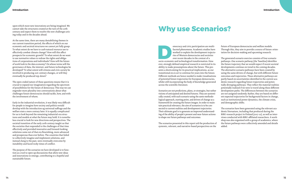upon which most new innovations are being imagined. We cannot take the structures created at the turn of the 20th century and expect them to resolve the new challenges aris ing today and in the decades ahead.

At the same time, there are many destabilising themes in our current transition period, the effects of which on our economic and societal structures we cannot yet fully grasp: To what extent do we have to curb natural resource use to effectively combat climate change? How will this affect prospects for economic growth? To what extent do we want to use normative values to redraw the rights and obliga tions of corporations and individuals? How will the future of work look in the data economy? On whose terms will the governance of data, the internet, and future technologies be developed? To what extent will citizens and civic society be involved in producing 21st-century changes, or will they eventually be produced top-down?

The open-ended nature of these questions means that it is crucial to expand our imagination regarding the spectrum of possibilities for the future of democracy. This way we can engender more plurality into conversations about what challenges future democracies should tackle, how, and with the involvement of whom.

emocracy and civic participation are multifaceted phenomena. Academic studies have<br>
worked to explain the development traject<br>
ries of Western democracies and societies<br>
over recent decades in the context of a<br>
socio-econo emocracy and civic participation are multifaceted phenomena. Academic studies have worked to explain the development trajecto ries of Western democracies and societies over recent decades in the context of a ever, strongly defined empirical research is restricted in its ability to make presumptions about the future. This pre sents a shortcoming for its practical implications, as our transitional era is set to continue for years into the future. Different methods are hence needed to make visualisations of potential future trajectories for European democracies, whilst still incorporating the body of knowledge generated across the scientific literature.

Early in the industrial revolution, it was likely very difficult for people to imagine how society and politics would develop with the introduction og universal suffrage and the welfare state a mere century later. It is equally complicated for us to look beyond the remaining industrial-era struc tures and models at what the future may hold. It is nonethe less crucial to look for new directions and perspectives. The societal transition of the early 20th century taught us that the societies that responded to the challenges of that time effectively and provided innovative and forward-looking solutions came out of that era flourishing, more advanced and prosperous than ever before. The countries that failed to collectively imagine and implement solutions, and instead clung to the past, were eventually overcome by instability and faced rocky times of conflict.

The purpose of the scenarios we have developed is to func tion as a tool to open up discussions that allow new ideas and innovations to emerge, contributing to a hopeful and sustainable future.

Scenarios are not predictions, plans, or strategies, but rather visions of anticipated and desired futures. They are systemi cally created, with each scenario using the same methodo logical approach, starting point, and drivers of change as a framework for creating the future images. In order to main tain practical relevance, the aim of scenarios is to be con nected to current realities and development trajectories. Their ultimate goal is to generate an improved understand ing of the ability of people's present and near-future actions to shape our future pathways and outcomes.

The scenarios presented in this report aid the production of systemic, relevant, and narrative-based perspectives on the

future of European democracies and welfare models. Through this, they aim to provide a source of future-orien tation for decision-making and upcoming research.

The generated scenario exercise consists of four scenario pathways. One scenario pathway (the 'baseline) identifies the future trajectory that we would expect if recent societal developments continue on trend in the coming decades. The alternative scenario pathways have been created by using the same drivers of change, but with different future outcomes and trajectories. These alternative pathways are partly based on uncertainties identified in the current aca demic research regarding future trajectories and poten tially diverging pathways. They reflect the material realities potentially realised if we were to travel along these different development paths. The differences between the scenarios are not assigned randomly. Rather, they are based on differ ent expected trajectories for background factors in change, such as institutional power dynamics, the climate crisis, and demographic shifts.

The scenarios have been generated using the relevant aca demic literuature, including that produced during the BIBU-research project in Finland (2017-22), as well as inter views conducted with BIBU-affiliated researchers. A work shop was also organised with a group of academics, where the future pathways were collectively amended and details added.

## Why use Scenarios?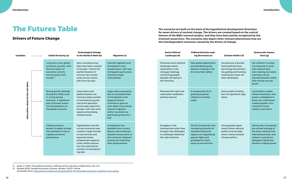## The Futures Table

## Drivers of Future Change

| Long-term slow global<br>economic growth, with<br>the focal point of<br>economic activity<br>moving away from                                                            | New manufacturing<br>jobs have been created<br>in Europe, <sup>12</sup> whilst the<br>platformisation of                                                                                                                           | Internal migration and<br>immigration have<br>slowed down, with new                                                                                                                                                              | <b>Fractured socio-political</b><br>landscape where<br>nationalism is the           | New global agreements<br>and standards guide<br>decision-making in the                                                                                                    | Has become a founda-<br>tional political issue,                                                                                                                                                    | Are utilised in increas-<br>ing measures in local                                                                                                                                            |
|--------------------------------------------------------------------------------------------------------------------------------------------------------------------------|------------------------------------------------------------------------------------------------------------------------------------------------------------------------------------------------------------------------------------|----------------------------------------------------------------------------------------------------------------------------------------------------------------------------------------------------------------------------------|-------------------------------------------------------------------------------------|---------------------------------------------------------------------------------------------------------------------------------------------------------------------------|----------------------------------------------------------------------------------------------------------------------------------------------------------------------------------------------------|----------------------------------------------------------------------------------------------------------------------------------------------------------------------------------------------|
| Europe. <sup>11</sup>                                                                                                                                                    | services has moved<br>away service-sector<br>jobs from Europe.                                                                                                                                                                     | immigrants particularly<br>moving to large<br>metropolises                                                                                                                                                                       | strongest ideology<br>connecting people<br>(despite still being in<br>the minority) | EU more than before                                                                                                                                                       | but strong environmen-<br>tal guiding and funding<br>mechanisms have not<br>been developed                                                                                                         | and national deci-<br>sion-making, but retain<br>a primary role as<br>sounding boards, rather<br>than having any real<br>power                                                               |
| Strong growth globally<br>during the 2020s ends<br>in a long-lasting<br>recession. A significant<br>part of Europe moves<br>into the periphery of<br>the global economy. | <b>Automation and</b><br>platformisation are<br>moving a large number<br>of manufacturing jobs<br>and some specialist,<br>service jobs away from<br>Europe, with new work<br>opportunities being<br>created slowly                 | Large urban areas grow<br>due to increased levels<br>of immigration and<br>regional centres<br>continue to grow as<br>well, albeit more slowly.<br>Internal migration<br>within countries has<br>practically ground to a<br>halt |                                                                                     | A bureaucratic EU is<br>growing its power<br>relative to member<br>states                                                                                                 | Drives public funding,<br>but not significant regu-<br>lation                                                                                                                                      | Local politics widely<br>utilise innovations, and<br>power is delegated to<br>these new institutions,<br>creating global, com-<br>munities of local<br>creators and actors                   |
| <b>Global economic</b><br>growth is stable; Europe<br>has renewed its role as<br>a global economic<br>powerhouse                                                         | Digitalisation and the<br>circular economy have<br>created a large number<br>of new services and<br>expertise-driven<br>employment opportu-<br>nities, whilst automa-<br>tion has reduced the<br>number of manufactur-<br>ing jobs | Immigration has<br>doubled from current<br>figures, and is directed<br>towards various parts of<br>the continent. Regional<br>centres are improving<br>their attractiveness                                                      |                                                                                     | The EU is fractured, and<br>increasing amounts of<br>member states and<br>regions are negotiating<br>special rights and<br>privileges for them-<br>selves across the bloc | Strong global agree-<br>ments frame national<br>politics and strongly<br>direct money towards<br>climate politics                                                                                  | <b>Democratic innovations</b><br>are utilised strongly at<br>the local, national and<br>international level, and<br>citizens' councils are<br>delegated significant<br>decision-making power |
|                                                                                                                                                                          |                                                                                                                                                                                                                                    |                                                                                                                                                                                                                                  |                                                                                     |                                                                                                                                                                           | Renewed left-right and<br>nationalism-globalism<br>political spectra<br>Struggles in the<br>international order have<br>brought new ideologies<br>to challenge traditional<br>left-right divisions |                                                                                                                                                                                              |

| <b>Climate Politics (f)</b>                                                                                                                   | Democratic Innova-<br>tions (q)                                                                                                                                                              |
|-----------------------------------------------------------------------------------------------------------------------------------------------|----------------------------------------------------------------------------------------------------------------------------------------------------------------------------------------------|
| Has become a founda-<br>tional political issue,<br>but strong environmen-<br>tal quiding and funding<br>mechanisms have not<br>been developed | Are utilised in increas-<br>ing measures in local<br>and national deci-<br>sion-making, but retain<br>a primary role as<br>sounding boards, rather<br>than having any real<br>power          |
| Drives public funding,<br>but not significant regu-<br>lation                                                                                 | Local politics widely<br>utilise innovations, and<br>power is delegated to<br>these new institutions.<br>creating global, com-<br>munities of local<br>creators and actors                   |
| Strong global agree-<br>ments frame national<br>politics and strongly<br>direct money towards<br>climate politics                             | <b>Democratic innovations</b><br>are utilised strongly at<br>the local, national and<br>international level, and<br>citizens' councils are<br>delegated significant<br>decision-making power |

The scenarios are built on the basis of the hypothetical development directions for seven drivers of societal change. The drivers are created based on the central themes of the BIBU research project, and they have been jointly recognised by the involved researchers. The scenarios also depict other relevant phenomena that are the interdependent outcomes caused by the drivers of change.

#### Introduction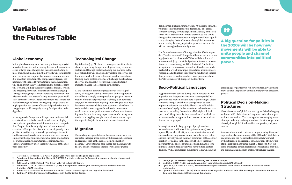### Global economy

Many regions in Europe are still dependent on industrial exports with a relatively low added value and are highly susceptible to global economic interactions and competition. Despite the relatively high level of education and expertise in Europe, there is a slim sector of globally competitive firms that rely on knowledge and expertise, which could sustainably create future middle- and high-income employment opportunities. The global green and sustainable transition alongside systemic economic structure changes will strongly affect the future success of the European economy.<sup>2</sup>

In the global economy we are currently witnessing myriad uncertainties which in the coming decades will unfold in a series of large-scale changes. For instance, combatting climate change and maintaining biodiversity will significantly limit the future development of various economic sectors. It is uncertain how strong the compensatory (green) economic growth induced by investments in green solutions will be, and what the overall effects on the global economy will look like. Guiding the complex global financial system and preparing for various financial crises is challenging. Demographic ageing across an increasing number of countries means that less areas of strong economic growth will exist across the world.<sup>1</sup> These development patterns are particularly strongly reflected in an ageing Europe that is losing its position as a centre of industrial production and is struggling to build an equally strong focal position in the digital era.

- 1 Marešová, P., Mohelská, H., & Kuča, K. (2015). Economics aspects of ageing population.
- 2 Fagerberg, J., Laestadius, S., & Martin, B. R. (2016). The triple challenge for Europe: the economy, climate change, and governance.´
- 3 Collin, J. et al (2015). Finland The Silicon Valley of Industrial Internet.
- 4 Watanabe, C., Tou, Y., & Neittaanmäki, P. (2018). A new paradox of the digital economy-Structural sources of the limitation of GDP statistics.
- 5 Kotavaara, N., Kotavaara, O., Rusanen, J., & Muilu, T. (2018). University graduate migration in Finland.
- 6 Zvidriņš, P. (2012). Demographic Development in the Baltic Sea Region.

## Technological Change

Digitalisation (e.g. AI, cloud technologies, robotics, blockchain) is upturning the operating logic of many economic sectors, and through that is reshaping our markets. In the near future, this will be especially visible in the service sector, where work will move online and into the cloud, transforming many professions. This will change the structures of service and specialist work with potentially strong impacts on European economic development.3

At the same time, consumer prices may decrease significantly, although the ability to make use of these opportunities will vary strongly across population groups.4 The automation of industrial production is already at an advanced stage, with development ongoing. Industrial jobs have been lost across Europe and developed economies elsewhere. It is estimated that even large-scale industrial investment would not create a significant amount of new manufacturing jobs. Despite its strong impact on manufacturing, automation is struggling to replace other low-income occupations, particularly in the care and construction sectors.

### Political Decision-Making **Structures**

## Migration

The working-age population of European countries is concentrated in larger urban areas, with less central countries and regions, such as the Baltics, facing population declines.5,6 Low birthrates have caused population growth to slow, and in some areas there is even a demographic

## Variables of the Futures Table

decline when excluding immigration. At the same time, the volume of internal migration is decreasing.7 The global economy strongly favours large, internationally connected cities. There are currently limited alternatives that would change this development path in migration without significantly changing the fundaments of our global economies. In the coming decades, population growth across the bloc will increasingly rely on immigration.

The future development of immigration is difficult to predict: To what extent will Europe be able to attract and retain highly educated professionals? What will the volume of non-economic (e.g. climate) migration be towards the continent, and how strongly will this fluctuate? For the time being, immigration across the continent has been at a relatively stable level, but younger generations are much more geographically flexible in their studying and living choices than previous generations, which raises questions about the "attractiveness" of Europe in the long term.

## Socio-Political Landscape

Big phenomena in politics during the 2010s were anti-immigration and integration sentiments accompanied by a growth in nationalism and the parties promoting it. Global economic changes and climate change have also been important drivers in the political landscape. Political discussions have largely shifted away from industrial-era class structures, including the traditional left-right political spectrum.8 Alongside this, internet and social media have mainstreamed new opportunities to construct new identities and social groups.9

Ideologies that unite large groups of people (such as nationalism, or traditional left-right sentiments) have been replaced by smaller identity movements oriented around conservative or progressive values. Inwards-turned nationalism is currently one of the most prominent of these. A big question for politics in the 2020s will be how these new movements will be able to unite people and channel communities into political power: Will new political parties develop? Will contemporary movements take ownership of

- 7 Rowe, F. (2020). Internal Migration Intensity and Impact in Europe.
- 8 Im, Z et al (2020). Neljän kuplan kansa : miten suomalaiset äänestävät? [in Finnish]
- 9 Uysal, M. S., & Akfırat, S. A. (2021). The social identity perspective of social media leadership in collective action participation.
- 10 Ojanen, T., & Salminen, J. (2019). Finland: European Integration and International Human Rights Treaties as Sources of Domestic Constitutional Change and Dynamism.

existing legacy parties? Or, will new political development move outside the purview of traditional party and electoral politics?

The maintenance of global economic growth is challenging without a shift of decision-making from national to supranational institutions. The same applies to managing many of our period's key challenges, such as climate change, biodiversity loss, global South-to-North migration, and pandemics.

A constant question in this era is the popular legitimacy of supranational democracy (e.g. at the EU level).<sup>10</sup> Multilateral cooperation in the global system does not always work without friction, and regional concentrations of power create inequalities in influence in global decisions. New tensions are created as technocrats and civil servants are building supranational decision-making structures that can

A big question for politics in the 2020s will be how new movements will be able to unite people and channel communities into political power.

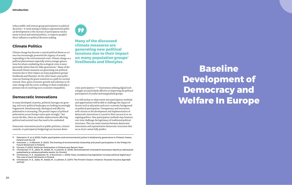reduce public and interest group participation in political decisions.<sup>11</sup> A trend aiming to balance supranational political developments is the increase of participatory mechanisms in local and national politics, to improve people's direct influence in political decision-making.

## Climate Politics

Climate change has become a central political theme as science has increasingly promoted the urgency of acutely responding to the environmental crisis. Climate change as a political phenomenon especially unites younger generations for whom combatting the ecological crisis is more personally salient than for older generations.12 Many of the discussed climate measures are generating new political tensions due to their impact on many population groups' livelihoods and lifestyles. On the other hand, some politicians are framing the green transition as a path for societal renewal. Here, green economic growth and solutions to climate change and the actors working on them would play a primary role in resolving socio-economic inequalities.

## Democratic Innovations

In many developed countries, political cleavages are growing, and socio-political landscapes are looking increasingly fragmented. Simultaneously, ideological and affective polarisation is increasing. The present impact of political polarisation across Europe varies quite strongly,13 but across the bloc, there are similar undercurrents affecting political and societal trust that need to be combatted.

Democratic innovations (such as public petitions, citizens' councils, or participatory budgeting) can increase demo-



11 Paloniemi, R. et al (2015). Public participation and environmental justice in biodiversity governance in Finland, Greece, Poland and the UK.

- 12 Huttunen, J., & Albrecht, E. (2021). The framing of environmental citizenship and youth participation in the Fridays for Future Movement in Finland.
- 13 Fornaro, P. (2021). Politician Polarisation in Finland over Recent Years
- 14 Christensen, H. S., Jäske, M., Setälä, M., & Laitinen, E. (2016). Demokraattiset innovaatiot Suomessa–Käyttö ja vaikutukset paikallisella ja valtakunnallisella tasolla. [in Finnish]
- 15 Christensen, H. S., Karjalainen, M., & Nurminen, L. (2015). Does crowdsourcing legislation increase political legitimacy? The case of Avoin Ministeriö in Finland.
- 16 Christensen, H. S., Jäske, M., Setälä, M., & Laitinen, E. (2017). The Finnish Citizens' Initiative: Towards Inclusive Agenda setting?

cratic participation.14,15,16 Innovations utilising digital technologies are particularly effective at improving the political participation of youths and marginalised groups.

It is still unclear to what extent new participatory methods and opportunities will be able to challenge the impact of factors such as education and socio-economic background on political participation. Transparency and interaction with citizens in the development and implementation of democratic innovations is crucial to their success in re-energising politics. New participatory methods may, however, over time challenge the legitimacy of traditional political structures. This can create tensions between democratic innovations and representative democratic structures that we as of yet cannot fully predict.

Many of the discussed climate measures are generating new political tensions due to their impact on many population groups' livelihoods and lifestyles.

# Baseline Development of Democracy and Welfare In Europe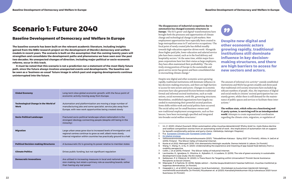## Scenario 1: Future 2040

## Baseline Development of Democracy and Welfare In Europe

The baseline scenario has been built on the relevant academic literature, including insights gained from the BIBU research project on the development of (Nordic) democracy and welfare models in recent years. The scenario is built on the assumption that the coming twenty years will strengthen and consolidate the development paths and phenomena we have seen over the past two decades. No unexpected changes of direction, including major political or socio-economic reforms, occur in this track.

It must be noted that this scenario is not a prediction nor a statement of the most likely future path, since the future always involves unexpected events and developments. The baseline can be seen as a 'business-as-usual' future image in which past and ongoing developments continue uninterrupted into the future.

### **The disappearance of industrial occupations due to automation has changed economic structures in Europe.** The EU's green<sup>2</sup> and digital<sup>3</sup> transformations have

brought both the pressures and opportunities of climate change and technological change to job markets. New employment opportunities have especially been created in large metropolitan areas in IT and service occupations.4 The focal point of newly created jobs has shifted steadily towards high-education expertise-driven work.5 Alongside these higher paid jobs, lower-education and salaried service jobs have been created, such as in the food delivery and hospitality sectors.6 At the same time, whilst major European corporations have lost their status as large employers, they have often maintained their profitability.7 The relatively strong position of Europe in the sustainable and green service sector has grown and been consolidated due to encroaching climate change.<sup>8</sup>

| <b>Global Economy</b>                                      | Long-term slow global economic growth, with the focus point of<br>economic activity moving away from Europe.                                                                                                |
|------------------------------------------------------------|-------------------------------------------------------------------------------------------------------------------------------------------------------------------------------------------------------------|
| <b>Technological Change in the World of</b><br><b>Work</b> | Automation and platformisation are moving a large number of<br>manufacturing jobs and some specialist, service jobs away from<br>Europe, with new work opportunities being created slowly                   |
| <b>Socio-Political Landscape</b>                           | Fractured socio-political landscape where nationalism is the<br>strongest ideology connecting people (despite still being in the<br>minority)                                                               |
| <b>Migration</b>                                           | Large urban areas grow due to increased levels of immigration and<br>regional centres continue to grow as well, albeit more slowly.<br>Internal migration within countries has practically ground to a halt |
| <b>Political Decision-making Structures</b>                | A bureaucratic EU is growing its power relative to member states                                                                                                                                            |
| <b>Climate Politics</b>                                    | Drives public funding, but not significant regulation                                                                                                                                                       |
| <b>Democratic Innovations</b>                              | Are utilised in increasing measures in local and national deci-<br>sion-making, but retain a primary role as sounding boards, rather<br>than having any real power                                          |

#### Baseline Development of Democracy and Welfare In Europe



Despite new digital and other economic actors growing rapidly, traditional institutions still dominate influence in key decision-making structures, and there are high barriers to access for new sectors and actors. Changes in economic structures have also generated friction between traditional formal and informal societal institutions, such as trade unions, social movements, work-life, governing structures. Nonetheless, established organisations have largely succeeded in maintaining their powerful societal position. Some shifts within work and social politics have occurred. The social safety net for small business-owners and non-traditional employment arrangements, such as freelancers, have been increasingly specified and integrated into broader social welfare structures.9

6 Wang, Y., Wang, H., & Xu, H. (2021). Understanding the experience and meaning of app-based food delivery from a

- 1 Im, Z. (2021). Uhatut Duunarit: Miten automaation uhka muuttaa äänestämistä? [Policy brief; ks. myös Status decline and welfare competition worries from an automating world of work : the implications of automation risk on support for benefit conditionality policies and party choice, Väitöskirja, Helsingin Yliopisto]
- 2 E.g.. European Climate Law; European Green Deal
- 3 EU digital strategy
- 4 Valtiovarainministeriön kansantalousosasto (2021). "Taloudellinen Katsaus Syksy 2021" [in Finnish].; Ailisto, H. (ed) et al (2015). Finland - The Silicon Valley of Industrial Internet.
- 5 Koste et al 2022: Metropoli 2030. Viisi skenaarioita Helsingin seudulle. Demos Helsinki & Labore. [in Finnish]
- mobility perspective.
- 7 Collin, J. et al (2015). Finland The Silicon Valley of Industrial Internet.
- development (case study: the EU states).
- 9 Saikkonen, P. & Ylikännö, M. (2020). Is There Room for Targeting within Universalism? Finnish Social Assistance Recipients as Social Citizens.
- 10 Mäenpää, P. & Faehnle, M. (2016): Neljäs sektori Kuinka kaupunkiaktivismi haastaa hallinnon, muuttaa markkinat ja laajentaa demokratiaa. [in Finnish]
- 11 Haapajärvi, L. et al (2021). Hyvä naapuri, hyvä Suomalainen Erontekojen ja kuulumisen käytännöt Helsingin monietnisillä asuinalueilla. [in Finnish]; Ruuskanen et. al (2020): Kansalaisyhteiskunnan tila ja tulevaisuus 2020-luvun Suomessa. [in Finnish]

8 Lavrinenko, O., Ignatjeva, S., Ohotina, A., Rybalkin, O., & Lazdans, D. (2019). The role of green economy in sustainable

**The welfare state, which relies on a functioning multi-party system, is surviving well in an interdependent world**. Attempts to create supranational coordination regarding the climate crisis, migration, or regulation of

Despite new digital and other economic actors growing rapidly, traditional institutions still dominate influence in key decisionmaking structures, and there are high barriers to access for new sectors and actors.

The amount of informal civic activity<sup>10</sup> outside established institutions and NGOs has grown steadily and showcased that traditional civil society structures have excluded significant numbers of people. Also, the importance of digital and social media in citizens' societal participation has constantly grown, whilst there is still demand for the maintenance of public spaces and services to facilitate these interactions.<sup>11</sup>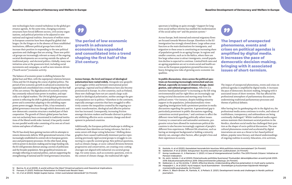The balance of economic power is shifting between the global East and West, with the superpower relations between China and the US shaping the course of global politics. The period of low economic growth in advanced economies has expanded and consolidated into a trend shaping the first half of the 21st century. The digitalisation of economic activity has constantly reduced state power in markets, and especially so in digital markets. The UN-led global governance system is reflecting the shift in global political and economic power and is somewhat adapting to the unfolding superpower power struggle. Because of this, it has remained a global governance structure through which democratic and non-democratic countries structure a marked part of their cooperation. The growth of China's global power has however not exclusively been concentrated in traditional institutions of the liberal world order. Instead, it has partly created its own parallel world order consisting of its own set of institutions and sphere of influence.<sup>12</sup>

new technologies have created turbulence in the global governance agenda. At the same time, changing economic structures have forced different sectors, civil society organisations, and political priorities to be adjusted to new national and regional realities. Structures of welfare states in European countries have been shaped by global challenges. On the fringes or in the absence of these established institutions, different political groups have tried to increase their position in responding to the new political questions and challenges that are arising. These new political groups are increasingly relevant as many of the ongoing societal developments are occurring outside the sphere of traditional party- and electoral politics. Globally, many new initiatives arise at the grassroots level, including social movements and campaigns, as well as new mission-driven ("fourth sector") economic activity.

The EU has slowly been gaining traction with its attempts to remove democratic deficits. With generational turnover, it has increasingly established its central role in European governance and participatory processes. On the other hand, along with its power in decision-making and its large funding role, the EU still generates distrust among a section of politicians and the broader population. New geopolitical tensions are strongly reflecting on national politics, and are supporting the strengthening of national and EU-level governance structures.



spectrum is holding on quite strongly.<sup>15</sup> Support for longterm social welfare reforms has enabled the modernisation of the social safety net<sup>16</sup> and the pension system.<sup>17</sup>

**Across Europe, the level and impact of ideological polarisation have varied widely.** Alongside new geopolitical struggles within and between international power groupings, regional and local differences have also become pronounced in Europe. In a few countries, such as Finland, these new challenges have not yet caused a large-scale uptick in ideological polarisation, neither amongst the general population nor in politics.13 Elsewhere in the continent, especially amongst countries that have struggled to effectively counter the inequalities created by the ongoing economic transformation, ideological and affective polarisation has increased. Consequently, increasing friction amongst decision-makers and broader distrust in politics are inhibiting effective socio-economic change and development in polarised countries.

Additionally, the European political landscape is shifting as traditional class identities are losing relevance, but do to some extent still shape voting behaviour.<sup>14</sup> Shifting demographics have caused traditionally dominant parties representing previously rigid societal groups to struggle in connecting to a specific societal group. New political questions, such as climate change, or socio-cultural divisions between progressives and conservatives, are creating cross-cutting cleavages not aligned with industrial-era societal groupings. For some issues, such as economic questions, even in the context of climate change, the traditional left-right

The period of low economic growth in advanced economies has expanded and consolidated into a trend shaping the first half of the 21st century.

Across Europe, both internal and external migratory flows are focused towards Western Europe. Elsewhere in the EU immigration has strongly slowed down. Large urban areas function as the main destinations for immigrants, and migration to these areas is constituting an increasing share of population growth in an ageing Europe. In regions and smaller countries, such as in the Baltics, where there are few large urban areas to attract immigrants, overall population decline is expected to continue. Limited birth rates and an ageing population are set to strain social and health services as the European population pyramid becomes topheavy, bringing new risks of growing socio-economic inequalities.

**In public discussions, views across the political spectrum are becoming increasingly entrenched and conflictual, especially on issues of climate change, immigration, and cultural progressiveness.** Affective (i.e. emotion-based) polarisation<sup>18</sup> is increasing as the left-wing environmentalist and far-right blocs are increasingly capturing societal discussions and moving away from the political centre.19 For instance, despite holding minority support in the population, (ethno)nationalistic views regarding immigration hold a prominent position in media discussions regarding the question. A generational gap is particularly prominent in public discussions regarding  $\overline{\text{contentious} \text{ societies}}$  and continues to affect the different views held regarding politically salient issues. Contrary to conservative and nationalist sentiments, progressive voices have allowed for mainstream political discussions to also become increasingly cognisant of people's different lives experiences. Different life situations, such as having an immigrant background or holding a minority identity can, amongst other factors, affect people's lives and their experiences in society.

18 Ks. esim. Isotalo, V. et al (2020): Polarisoituuko politiikka Suomessa? Puolueiden äänestäjäkuntien arvosiirtymät 2003–

- 16 Saikkonen, P. et al (2020). Sotupuntari: Suuntia sosiaaliturvan uudistukseen. [in Finnish]
- 17 Komp-Leukkunen, K., & Rantanen, V. (2021). A Case of Intergenerational Conflict: The 2015 Finnish Citizens' Initiative on Pension Indexation.
- 2019; Eduskuntavaalitutkimus 2019. Oikeusministeriön julkaisuja. [in Finnish]
- 19 Kekkonen, A., ja Ylä-Anttila, T. (2021): Affective blocks: Understanding affective polarisation in multi-party systems.
- 20 Haapajärvi, L. et al (2021). Hyvä naapuri, hyvä Suomalainen Erontekojen ja kuulumisen käytännöt Helsingin monietnisillä asuinalueilla. [in Finnish]
- 21 Allern, S., Blach-Ørsten, M., Kantola, A., & Pollack, E. (2021). Development trends and challenges in Nordic political journalism.



The impact of unexpected phenomena, events and crises on political agendas is amplified by digital media. It increases the pace of democratic decision-making, bringing with it associated issues of short-termism. This has affected the professional atmosphere of parliamentary discussions, undermining traditional parliamentary processes and themes of political debates.

After having lost its gatekeeping role in the digital era, the professional media arena continues to evolve, and values of truthfulness, transparency, and unbiasedness are being continually challenged.21 Whilst traditional media organisations maintain their dominant societal position in the Nordics, elsewhere social media has challenged their position as the shaper of socio-political discussions. The new cultural phenomena created and accelerated by digital innovations are seen as a threat to fact-based political debate, popular news literacy, and shared understandings of ongoing realities in society. Education, civic activism,

The impact of unexpected phenomena, events and crises on political agendas is amplified by digital media. It increases the pace of democratic decision-making, bringing with it associated issues of short-termism.

<sup>12</sup> Barma, N. et al (2009). A world without the West? Empirical patterns and theoretical implications.

<sup>13</sup> Fornaro, P. (2021). Politician Polarisation in Finland over Recent Years

<sup>14</sup> Im, Z et al (2020). Neljän kuplan kansa : miten suomalaiset äänestävät? [in Finnish]

<sup>15</sup> Kantola, A. et al (2020). Kansalaiset koronakriisin kourissa: Mitä poliittisia toimia kannatetaan? [in Finnish]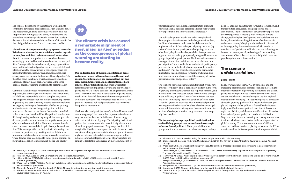and societal discussions on these threats are helping to control the downsides of social media, such as online abuse and hate speech, and find collective solutions<sup>22</sup>. This has supported the willingness and ability of researchers and journalists to actively participate in contentious societal debates. It has also increased the resilience of citizens in the face of digital threats to a fair and transparent media.

Communication between researchers and politicians has improved, but this has yet to fully reflect in decision-makers' ability to substantially address complex long-term challenges.24 Climate action has still been receiving increasing funding and been a priority in socio-economic reforms. An ongoing challenge is the creation of effective guiding mechanisms for climate change mitigation: politics remains too focused on the factors that can be controlled, rather than those that should be. The political emphasis on life-long learning and reducing inequalities amongst children and youths has ameliorated the negative consequences of structural economic shifts. There are, however, insufficient resources to extend the length of compulsory education. This, amongst other inefficiencies in addressing educational inequalities, is generating societal debate about fair resource distributions across regions and generations. These debates have also helped to frame public opinions on future climate action as questions of justice and equity.<sup>25</sup>



**The reliance of European multi-party systems on established societal networks, such as labour market organisations, has inhibited their fundamental modernisation.** At the same time, political processes have become increasingly theatrical both within and outside electoral politics. Consequently, the detachment of younger generations from traditional electoral politics has been expedited. Dissatisfaction with the consequences of the ongoing socio-economic transformation is now been channelled into civic activity occurring outside the bounds of formal politics.<sup>23</sup> On the other hand, the climate crisis has caused a remarkable alignment of most major parties' agendas as the consequences of global warming are starting to become reality.

political spheres. Intra-European information exchange between national political-academic elites about participatory experiments and innovations has increased.<sup>28</sup>

The political vigour of youths and other marginalised demographics have increased in the few, primarily urban, localities where resources have enabled the wide-scale implementation of alternative participatory methods (e.g. citizens' councils and participatory budgeting).29 On the other hand, they have also deepened the cleavage between high-income and elderly groups and young and low-income groups in political participation. The former demonstrate a strong preference for traditional methods of democratic participation,30 whereas the latter finds direct, participatory processes to be the bedrock of contemporary democratic legitimacy.31 This has created a resistance to democratic innovations in demographics favouring traditional electoral structures, and also decreased the diversity of elected parliamentarians and political elites.<sup>32</sup>

- 22 Kantola, A. & Harju, A. A. (2021). 'Tackling the emotional toll together: How journalists address harassment with connective practices'.
- 23 Nemčok, M., & Wass, H. (2021): Generations and Political Engagement.
- 24 Hiilamo, Heikki (2021) Tutkimukseen perustuvan asiantuntijatiedon käyttö päätöksenteossa: esimerkkinä soteuudistus. [in Finnish]
- 25 Wass, H. et al (2021). Päättäjät Politiikan pyörteissä: Näkemyksiä ilmastopolitiikasta, demokratiasta, ja päätöksentekoon vaikuttamisesta. [in Finnish]
- 26 Bherer, L., Dufour, P., & Montambeault, F. (2016). The participatory democracy turn: an introduction.
- 27 Kantola, A., Wass, H., Lahtinen, H., Peltoniemi, J.& Heikkilä, T. (2019): Vaalinavigaattori. Katso mistä löytyy eniten käyttämättömiä ääniä. [in Finnish]

**Our understanding of the implementation of democratic innovations in Europe has strengthened, and exchange of information has been enabled, but decision-making structures and political attitudes have inhibited their full utilisation.** Some participatory reforms have been implemented,<sup>26</sup> but the importance of participation as a central political challenge remains. Meanwhile, the insufficient institutionalisation of participatory mechanisms have left democratic innovations primarily within the purview of major metropolises. Therefore, the push for increased political participation has somewhat lost political momentum.

The lower electoral participation of youth and low-income/ education groups<sup>27</sup> has meant that representative democracy has remained under the influence of increasingly coherent, self-interested groups. Participating in electoral politics has become a tradition in which high-income and older demographics dominate. For groups that have felt marginalised by these developments, limited clear access to decision-making processes exists. Many people are increasingly forgotten in political decision-making and public debates. New technologies and forms of participation are aiming to tackle this issue across an increasing amount of

The climate crisis has caused a remarkable alignment of most major parties' agendas as the consequences of global warming are starting to become reality.

The tensions between generations and interest groups have grown accordingly.33 This is particularly evident in the form of growing affective polarisation at a regional, national, and international level. However, across the continent, changes in the militancy in political parties' manifestoes has been one factor influencing the extent to which affective polarisation has grown. In countries with more radical political parties; primarily those that have less effectively managed to smooth inequalities arising from the economic transformation, affective polarisation has grown much more rapidly than in others.

**The deepening cleavage in political participation has enabled lobby groups34 and networks to increasingly influence formal politics.**35 These powerful interest groups and the actors around them have managed to shape

- setting?.
- 30 Wass, et al (2021): Päättäjät politiikan pyörteissä. Näkemyksiä ilmastopolitiikasta, demokratiasta ja päätöksentekoon vaikuttamisesta. [in Finnish]
- 31 Christensen, H. S., Karjalainen, M., & Nurminen, L. (2015). Does crowdsourcing legislation increase political legitimacy? The case of Avoin Ministeriö in Finland.
- 32 Mannevuo, M. (2020). Anxious politicians: Productivity imperatives in the Finnish Parliament, (policy brief Mannevuo, M. (2020): Onko politiikka liian kuluttava intohimotyö?)
- Pension Indexation.
- 34 Holopainen, M., & Nordström, L. (2020). Suomeen tarvitaan kattava lobbausrekisteri. [in Finnish]
- 35 Kantola, A. (2020). Gloomy at the top: How the wealthiest 0.1% feel about the rest.
- 36 Chen, T. H. et al (2021). Polarization of climate politics results from partisan sorting: Evidence from Finnish Twittersphere.

33 Komp-Leukkunen, K., & Rantanen, V. (2021). A Case of Intergenerational Conflict: The 2015 Finnish Citizens' Initiative on

political agendas, push through favourable legislation, and frame political discussions and perspectives of decision-makers. The mechanisms of power use by experts have been strengthened. Especially with respect to climate change, technological development, and social welfare and health, the decision-making influence of technocrats is widespread. Strong lobbying at the EU level in climate and technology policy impacts debates and frictions in its member states' politics as well. The constant balancing act between economic, social, and ecological sustainability continues to affect polarisation, especially with respect to popular opinions on climate action.36

## The scenario unfolds as follows

### 2022 - 2025

Policy evaluations of the COVID-19 pandemic and the increasing prominence of climate action are increasing the internal cooperation of governing institutions and citizens' participation opportunities. The modernisation of social welfare models across Europe brings to the fore regional inequalities in wellbeing. This activates political discussion about the growing quality-of-life inequality between people and regions. Global politics is framed by the increasingly unstable domestic political situation of the US, the rapid rise of China, and the new manifestations of Russia's international power grabs, such as the war in Ukraine. Together, these factors are creating increasing international tensions, which are also reflected in the development of the global economy. The uneven commitment of different countries to climate action is placing pressure on the EU to remain steadfast in its own green transition plans, whilst

29 Christensen, H. S., Jäske, M., Setälä, M., & Laitinen, E. (2017). The Finnish Citizens' Initiative: Towards Inclusive Agenda

<sup>28</sup> Aitamurto, T. (2012). Crowdsourcing for democracy: A new era in policy-making.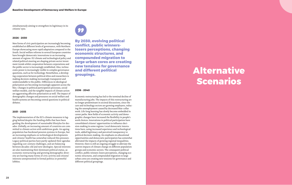simultaneously aiming to strengthen its legitimacy in its citizens' eyes.

#### 2026 - 2030

New forms of civic participation are increasingly becoming established at different levels of governance, with Northern Europe showcasing more rapid adaptation compared to the South. Social welfare reforms in several European countries have brought democratic innovations to an increasing amount of regions. EU climate and technological policy and related political steering are shaping private sector invest ment trends whilst cooperation between corporations and the public sector is increasingly established. Also, techno cratic power is increasingly visible in complex governance questions, such as for technology. Nonetheless, a develop ing cooperation between political elites and researchers is making decision-making increasingly transparent and understandable to the public. Differences in ideological polarisation are becoming increasingly apparent across the bloc. Changes in political participation processes, social welfare models, and the tangible impacts of climate action are aggravating affective polarisation as well. The impact of demographic changes and pressures on social welfare and health systems are becoming central questions in political debates.

#### 2031 - 2035

The implementation of the EU's climate measures is lag ging behind despite the funding shifts that have been guiding the development of sustainable lifestyles for dec ades. Globally, an increasing amount of countries are com mitted to climate action with ambitious goals. An ageing population has burdened pension systems in Europe, but an increasing emphasis on technological developments and citizens' health has somewhat reduced this pressure. Legacy political parties have partly updated their agendas regarding 21st-century challenges, and are balancing between decades-old and new ideologies. Special interests are also maintaining their dominant political status, as economic restructuring and growing demographic diver sity are leaving many forms of civic activity and citizens' interests unrepresented in formal politics or powerful lobbies.



### 2036 - 2040

Economic restructuring has led to the terminal decline of manufacturing jobs. The impacts of this restructuring are no longer predominant in societal discussions, since the care and technology sectors are growing employers, reduc ing the unemployment caused by decreased blue-collar work. Life-long learning has slowly become embedded in career paths. New fields of economic activity and demo graphic changes have increased the flexibility in people's work choices. Innovations in political participation have consolidated citizens' opportunities to influence deci sion-making in some regions. Local democratic innova tions have, using increased experience and technological tools, added legitimacy and perceived transparency to political decision-making. An emphasis on educational opportunities and democratic participation has somewhat alleviated the impacts of growing regional inequalities. However, there is still an ongoing struggle to alleviate the uneven impacts of climate change on different population groups and economic sectors. The consequent political conflict, public winners-losers perceptions, changing eco nomic structures, and compounded migration to large urban cores are creating new tensions for governance and different political groupings.

By 2030, evolving political conflict, public winnerslosers perceptions, changing economic structures, and compounded migration to large urban cores are creating new tensions for governance and different political groupings.

# Alternative Scenarios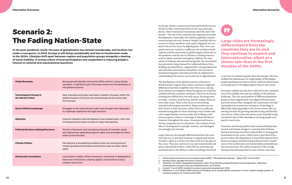## Scenario 2: The Fading Nation-State

In the post-pandemic world, the pace of globalisation has slowed considerably, and localism has made a resurgence. In 2040, Europe is still doing considerably well due to investments made in the 2020s. Lifestyles drift apart between regions and population groups alongside a slowing of social mobility. A strong culture of local participation and cooperation is reducing people's interest in national and supranational questions.

| <b>Global Economy</b>                               | Strong growth globally during the 2020s ends in a long-lasting<br>recession. A significant part of Europe moves into the periphery of<br>the global economy.   |
|-----------------------------------------------------|----------------------------------------------------------------------------------------------------------------------------------------------------------------|
| <b>Technological Change in</b><br>the World of Work | New manufacturing jobs have been created in Europe, whilst the<br>platformisation of services has moved away service-sector jobs<br>from Europe.               |
| <b>Socio-Political Landscape</b>                    | Struggles in the international order have brought new ideologies<br>to challenge traditional left-right divisions.                                             |
| <b>Migration</b>                                    | Internal migration and immigration have slowed down, with new<br>immigrants particularly moving to large metropolises.                                         |
| <b>Political Decision-making Structures</b>         | The EU is fractured, and increasing amounts of member states<br>and regions are negotiating special rights and privileges for them-<br>selves across the bloc. |
| <b>Climate Politics</b>                             | Has become a foundational political issue, but strong environ-<br>mental guiding and funding mechanisms have not been devel-<br>oped.                          |
| <b>Democratic Innovations</b>                       | Local politics widely utilise innovations, and power is delegated to<br>these new institutions, creating global, communities of local<br>creators and actors.  |

#### Alternative Scenarios



In Europe, Nordic countries have been particularly successful due to their investment boom in the 2020s post-pandemic, which maintained momentum until the end of the decade.1,2 The rest of the continent also experienced similar developments. Eventually, the realities of global economic restructuring took over, however. People's mobility did not recover to its pre-pandemic state and an oligopoly was created in the service sector by digital giants. Also, new companies were not created at a sufficient rate to balance bankruptcies and the uncertainty in global supply chains due to the pandemic and the war in Ukraine is creating resource scarcity. Many countries and regions celebrate the slow return of industry and manufacturing jobs, but automation has prevented a large demand for industrial labour from building up. Nonetheless, supported by a strong innovation and education environment and politics, the increase in manufacturing jobs somewhat provides an employment counterbalance for service sector jobs lost to digitalisation.

Large cities are increasingly differentiated from the countries they are in, and they continue to expand and internationalise, albeit at a slower rate than in the first decades of the 2000s.

The development of the global economy continues to divide Europe's regions into winners and losers. Regional differences have been amplified since the 2020s, causing local cultures to strengthen. Many Europeans are relatively satisfied with the economic transition. The focus in history teaching has shifted since the early 2000s, focusing more on tribes, counties, local history, and the unique characteristics they create. There is less focus on overarching national and European narratives. Many youths now see their future in their local area, where there are sufficient manufacturing jobs for those desiring to stay. Further education opportunities are also ample and working conditions are good, as there is a shortage of industrial labour.<sup>3</sup> However, throughout the 2030s, investment and innovation by companies are on a downturn. The creation of new ideas is slowing down as people, markets, and ideologies increasingly turn inwards.

Large cities are increasingly differentiated from the countries they are in, and they continue to expand and internationalise,4 albeit at a slower rate than in the first decades of the 2000s. They also continue to succeed economically and attract specialised workers. Urban life has somewhat quieted down due to the ability to order everything, from food to services to consumer goods, from the internet. This has enabled the maintenance of a high quality of life despite people spending more time at home, with new phenomena occurring more in the digital sphere than on city streets.

Economic stability has also been reflected in the contentedness of the middle class and the stability of the political landscape. The civic participation of different population groups is been supported by new digital infrastructures and tools across cities, alongside the maintenance of traditional physical connections and spaces. Technology is effectively replacing people in the service sector, who are moving towards the growing manufacturing and (health) care sectors. Urban areas also attract some manufacturing investment due to their abundance of young people compared to rural areas.

Economic and climate politics have remained firmly intertwined, and climate change is a central political theme. National emissions have been reduced due to strong green investments in the 2020s,<sup>5</sup> which were in part driven by a need to reduce the dependency on fossil fuel imports from Russia. European manufacturing industries have created some of the world's most environmentally sustainable production processes. The carbon footprint of the average European has decreased due to more climate-conscious

<sup>1</sup> Valtiovarainministeriön kansantalousosasto (2021). "Taloudellinen Katsaus - Syksy 2021". [in Finnish]

<sup>2</sup> Nordea (2021). Nordea Economic Outlook.

<sup>3</sup> Valtonen, M. (2021). Kauppakamarikysely: Lähes 75 prosenttia yrityksistä kärsii työvoimapulasta – Rajoittaa merkittävästi yritysten kasvua ja liiketoimintaa. [in Finnish]

<sup>4</sup> Cantell, T. et al (2019). Helsinki's present state and development 2019. 5 Olkkonen, V. et al (2021). Effectiveness of building stock sustainability measures in a low-carbon energy system: A scenario analysis for Finland until 2050.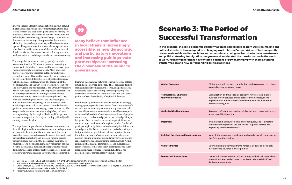lifestyle choices. Globally, climate action is lagging, as funding for climate action and environmental regulations have created friction and inaction in global decision-making fora. Public discussions focus on the role of new innovations and technologies<sup>6</sup> in combatting climate change. Those born in the 2000s are increasingly disappointed with the underwhelming climate change response, and hold resentments against older generations. Some have taken up permanent school strikes and have not entered the workforce. Instead, they have oriented themselves towards voluntary and care work, outside the - in their eyes - malicious market economy.

The new global (or more accurately, glocal) economic era has undermined the EU. Many regions are decreasingly connected to the global economy and trade, as service provision increasingly takes place locally. Many states are therefore negotiating increased autonomy and special exemptions from EU rules. Consequently, we are seeing the EU retreating from different sectors of public steering, as well as a decrease in its resources. The cooldown of the global economy and the 'EU-era' is creating new tensions and cleavages in the political arena: pro-EU and progressive parties have been weakened, as have populist parties based on Euroscepticism and anti-immigration sentiments. Voices questioning Democracy have strengthened. They often call for strongman leaders, and their ideologies are built on authoritarian learning. On the other side of the political spectrum, radical pro-democracy and other single-issue movements are emerging. These internet-era ideologies and movements are inherently global, and new ideas spread rapidly. In a regionally divided Europe, new ideas are not represented evenly, becoming politically salient only in some locales.

The majority of the population is, however, uninterested in these ideologies, as their focus is on more practical questions of concern to their region. Many believe that influence in local affairs is increasingly accessible, as new democratic and participatory innovations and increasing public-private partnerships are increasing the closeness of the public to governance. The global local democracy movement has enabled the international diffusion of civic participation and deliberative decision-making best practices across cities and regions.7 Many municipalities across Europe are involved in



6 George, G., Merrill, R. K., & Schillebeeckx, S. J. (2021). Digital sustainability and entrepreneurship: How digital innovations are helping tackle climate change and sustainable development.

7 Christensen, H. S., Jäske, M., Setälä, M., & Laitinen, E. (2016). Demokraattiset innovaatiot Suomessa–Käyttö ja vaikutukset paikallisella ja valtakunnallisella tasolla. [in Finnish]

8 Parsama, L. (2021). Kansainväliset asiat. [in Finnish]

their own international networks, where new forms of localism and democracy are developed.8 These processes develop local cultures and bring economic, civic, and political activity closer to each other, creating increasingly strong local ecosystems. The downside of multifaceted local civic participation has been the widening of regional differences.

Simultaneously, national and local politics are increasingly moving apart, especially when viewed from a non-metropolitan perspective. For many, national and supranational politics seem like distant phenomena dominated by career politicians and bellwethers of new movements. For rural populations, the perceived cultural gap to urban or foreign lifestyles has grown. Local networks, trust- and responsibility-relations are important instead: Caring for extended family and participating in neighbourhood and municipal activities is a central part of life. Local economic success is also an important priority for people. After decades of experimentation, the options to have one's voice heard in local politics and decision-making are numerous, and many advocacy groups are actively involved in maintaining these channels. Active citizenship has become commonplace, and in societies, a return to shared, rather than individual interests has taken place. Taking care of shared issues and challenges has become a central political priority in and of itself.

Many believe that influence in local affairs is increasingly accessible, as new democratic and participatory innovations and increasing public-private partnerships are increasing the closeness of the public to governance.

## Scenario 3: The Period of Successful Transformation

In this scenario, the socio-economic transformation has progressed rapidly. Decision-making and political structures have adapted to a changing world. Across Europe, visions of technologically driven, sustainable and fair societies and economies are being realised due to mass investments and political steering. Immigration has grown and accelerated the transformation in the world of work. Younger generations have entered positions of power, bringing with them a cultural transformation and new corresponding political agendas.

| <b>Global Economy</b>                               | <b>Global econd</b><br>a global ecor                           |
|-----------------------------------------------------|----------------------------------------------------------------|
| <b>Technological Change in</b><br>the World of Work | Digitalisation<br>number of ne<br>opportunitie<br>manufacturii |
| <b>Socio-Political Landscape</b>                    | <b>Renewed left</b><br>gressive polit                          |
| <b>Migration</b>                                    | Immigration<br>towards vario<br>improving th                   |
| <b>Political Decision-making Structures</b>         | New global a<br>the EU more                                    |
| <b>Climate Politics</b>                             | Strong globa<br>direct money                                   |
| <b>Democratic Innovations</b>                       | Democratic ir<br>international<br>decision-mak                 |

mic growth is stable; Europe has renewed its role as a nomic powerhouse

i and the circular economy have created a large ew services and expertise-driven employment s, whilst automation has reduced the number of ng jobs

t-right, nationalism-globalism, and conservative-protical spectra

has doubled from current figures, and is directed ous parts of the continent. Regional centres are ieir attractiveness

greements and standards guide decision-making in than before

I agreements frame national politics and strongly y towards climate politics

novations are utilised strongly at the local, national and level, and citizens' councils are delegated significant ing power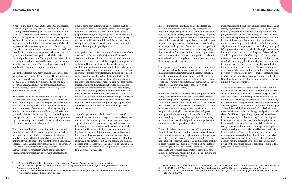When looking back from 2040, the economic and societal restructuring of the early 2000s has continued along a seemingly clear historical path. Trust in the ability of education to reshape society and create resilience has been upheld. The importance of digitalisation for development has been discussed exhaustively, and Europe has managed to pass through the digital transition era. Meanwhile, other regions are only now starting to discuss its future impacts. The redirection of economic activity towards clean tech and later the circular economy has proven to be wise. The same goes for ambitious climate politics, which has driven private and public innovation. The long shift towards a political focus on mission-driven and innovative public investment has been successful. These strategies have enabled the rapid modernisation of European economies.

Another central factor in European 2020s and 2030s success has been increasing immigration. The EU's ability to hold a dominant global position has played a central role in this. This dominant global position has involved increased internal and external cooperation, including an easing of immigration from Africa, the Middle East, and Asia. Immigration has been used as an asset by the EU, enabling it to leverage the bloc's countries to create common regulations, agreements, and partnerships in climate politics, resourceand data-economies, and labour markets.<sup>2</sup>

Due to these factors, new, growing, globally relevant companies have been established in Europe. Their reputation, specialised knowledge, and connections to the public sector and R&I ecosystems have generated a major pull factor for highly educated immigrants from Asia and Africa.<sup>1</sup> Within Europe, a South-to-North economic migratory movement is also evident.

The benefits and logic of partnership politics are understood better than before. A new European consensus has been built on the idea that it is impossible for Europe to build new projects that uphold its basic values if it has nothing of value to offer to the rest of the world. Europe has expertise, capital, and in many countries stable and wealthy societies that are attractive to many around the world. Demographic pressures from ageing populations have strained many European countries, with notable labour

1 YLE News (2021). Chamber of commerce survey reveals Finland's "alarming" skilled-labour shortage.

2 Calel, R., & Dechezleprêtre, A. (2016). Environmental policy and directed technological change: evidence from the European carbon market.

deficits being seen in labour-intensive sectors, such as care, construction, services, and some expertise-requiring professions. This has motivated the unification of demographic, economic, and regional politics, which is actively bringing immigration to Europe. In return, pools of expertise are created in Africa and the Middle East, with a new strong intercontinental coalition with shared rules and standards emerging in global politics.

Many political and societal tensions of the early 2000s have dissipated by the 2040s. The major societal shifts of the 2000s in traditions, cultural conventions,3 and communication methods have been routinised in politics and people's daily lives. This has made societal interactions more efficient. In hindsight, many understand that the early 2000s was an era of large-scale transition, where old institutions and ways of thinking were tested, modernised, or replaced. As has been the case throughout history, it took time for new structures to be created, legitimised, and accepted in the eyes of the population. This period did not pass without incident, with significant friction between political progressives and conservatives, the economic left and right, and nationalists and globalists. A culmination of the frictions between democratic and authoritarian systems was the Russian invasion of Ukraine. Despite the 30-year period it took for socio-economic and political structures to be modernised and stabilised, the global, digital, post-fossil transformation was eventually consolidated quite efficiently, however.

These changes were already discussed at the start of the 2000s: More systematic and deeper international cooperation, new public-private partnerships, new leadership, organisational and economic steering models, as well as increased government focus on science, education, and innovation. The autocratic threat to democracy posed by the Russian invasion of Ukraine motivated and accelerated the renewal of many structures and mindsets, partly as a result of increased awareness of the dangers of authoritarianism. As a generational shift among societal and political decision-makers takes place, these new solutions and methods of operation become increasingly concrete, and start to take a central role in society.

Increased immigration initially primarily affected large metropolitan areas<sup>4</sup> that offer a variety of employment opportunities, have high demand in service and construction sectors, and have large pre-existing immigrant groups. Over time, population growth across Europe's ageing countries has become visible in regional centres as well, as people start moving to cheaper smaller towns. These developments support the growth of new employment opportunities and companies, with existing companies expanding their operations from metropolitan areas to regional centres. At the same time, increased immigration is balancing out low birth rates during the 2010s and 2020s, extending the vitality of smaller towns.

The improved communication about Europe's new global agenda has enabled European citizens to better understand the economic transformation, and the roles of globalisation, digitalisation and climate action in it. The ongoing economic development has brought benefits to many, and especially to younger generations. An increasing amount of people feel that they are a part of the society-wide future-oriented success story.

In the 2020s and 2030s, there are many new phenomena in Europe that generate public discussions. These new phenomena bring people together, provide an impetus for civic activity, and are slowly reflected in politics as well. An analogy can be drawn to the early 2000s' internet and start-up boom. New activity is being born in surprising places, and people are increasingly active in new ideas and global underground cultures. Progress has also been made in understanding and taking advantage of new ideas in key institutions such as schools,<sup>5</sup> public sector organisations, companies, and even political parties.

These political parties play a key role in Europe's future. Despite the creation of a new European narrative, there are still ongoing ideological struggles around it. European parliament groups have become more organic reflections of national politics around the bloc. EU-level decision-making is being reflected in domestic cleavages, despite the latter concerning itself more with smaller-scale issues and solutions. Data and resource-based material economies have taken on a significant role in dividing societal opinions and creating new political cleavages.

5 Kelly, K., Merry, J., & Gonzalez, M. (2018). Trust, Collaboration and Well-Being: Lessons Learned from Finland.

Strong tensions still exist between globalist and nationalist ideologies, but this divide has become less deep over time. Similarly, major cultural debates, dividing societies into progressives and conservatives during the 2010s and 2020s, have largely lost political salience. This is because the stabilisation of the structural transformation has alleviated uncertainties amongst previously dissatisfied or economically insecure societal groups. A renewed, slowly developed left-right political spectrum, which is being born one political question at a time, is taking the place of these debates:<sup>6</sup> Should the protection of biodiversity be taken care of by market mechanisms or government-established protective areas? Who should pay for the transition to carbon-neutral technologies in agriculture, forestry, and heavy industry the state, businesses, or consumers? Can data about people's specific behavioural patterns be utilised? By who and how are powerful platform services that are replacing open markets and accumulating masses of data to be policed? How should states protect the privacy and identities of people in a digital environment?

The socio-political landscape is in motion: Parties actively take positions on newly salient questions and utilise experts and new communication tools to their advantage. At the same time, there is an increasing understanding of the connection between ideology and empirical reality. Conducting discussions about new phenomena exclusively at an abstract, overarching level is insufficient. A continuous monitoring of daily realities and the fine-tuning of political solutions to these situations is crucial. This fine-grained policy approach allows for different population groups to feel noticed and included in political decision-making. New technological innovations enable this increased monitoring of policies' impact on citizens. New citizens' councils have also been widely implemented, and have become a permanent part of decision-making and political renewal both at a national and local level. Citizens' councils do not only provide their opinions to politicians. A rethinking of political structures has enabled citizens and experts to be involved in all steps of decision-making processes. In the end, decision-making power on the fine-tuned details of political decisions is delegated to the citizens' councils.

<sup>3</sup> Zhan, J. X. (2021). GVC transformation and a new investment landscape in the 2020s: Driving forces, directions, and a forward-looking research and policy agenda.

<sup>4</sup> Sisäministeriö (2021). Maahanmuuton tilannekatsaus: Suomen väestö monimuotoistuu – vaihtelua on alueittain. [in Finnish]

<sup>6</sup> Paloniemi, R. et al (2015). Public participation and environmental justice in biodiversity governance in Finland, Greece, Poland and the UK.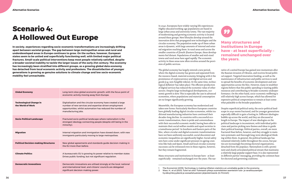## Scenario 4: A Hollowed Out Europe

In society, experiences regarding socio-economic transformations are increasingly drifting apart between societal groups. The gap between large metropolitan areas and rural and underdeveloped areas in Europe continues to grow. On the surface, however, European states seem to be united and superficially functioning well, with limited major political fractures. Small-scale political interventions keep most people relatively satisfied, despite a broader societal inability to tackle the larger issues of the early 21st century. The economy has increasingly been stratified into different groups, as a growing global data economy has detached from local economic activity and professions. The dissatisfaction of younger generations is growing as genuine solutions to climate change and low socio-economic mobility feel unreachable.

| <b>Global Economy</b>                               | Long-term slow global economic growth, with the focus point of<br>economic activity moving away from Europe.                                                                                                |
|-----------------------------------------------------|-------------------------------------------------------------------------------------------------------------------------------------------------------------------------------------------------------------|
| <b>Technological Change in</b><br>the World of Work | Digitalisation and the circular economy have created a large<br>number of new services and expertise-driven employment<br>opportunities, whilst automation has reduced the number of<br>manufacturing jobs. |
| <b>Socio-Political Landscape</b>                    | Fractured socio-political landscape where nationalism is the<br>strongest ideology connecting people (despite still being in the<br>minority).                                                              |
| <b>Migration</b>                                    | Internal migration and immigration have slowed down, with new<br>immigrants particularly moving to large metropolises.                                                                                      |
| <b>Political Decision-making Structures</b>         | New global agreements and standards guide decision-making in<br>the EU more than before.                                                                                                                    |
| <b>Climate Politics</b>                             | A bureaucratic EU is growing its power relative to member states<br>Drives public funding, but not significant regulation.                                                                                  |
| <b>Democratic Innovations</b>                       | Democratic innovations are utilised strongly at the local, national<br>and international level, and citizens' councils are delegated<br>significant decision-making power.                                  |

In 2040, Europeans have widely varying life experiences: Highly educated working-age populations are based in large urban areas and university towns. The vast majority of modernising and growing economic activity is located around these groups. New lifestyles develop around the innovation drive that propagated new technologies and the circular economy. The population make-up of these urban areas is dynamic, with large amounts of internal and external migration reaching them. In rural areas and across the smaller countries of (South-)Eastern Europe, these developments feel distant. Populations of smaller and mid-sized towns and rural areas have aged rapidly. The economic activity in these areas now often revolves around the provision of public services.

The global economy has largely entered a new period, where the digital economy has grown and separated from the resource-based, material economy, bringing with it the prominence of cryptocurrency and digital services and goods (e.g. non-fungible tokens). At the same time, technological deflation<sup>,</sup> has taken place: The efficient production of digital services has reduced the economic value of other sectors. Despite large technological developments, economic growth is slow. This is especially the case in advanced economies, where populations and material consumption are no longer significantly growing.

Meanwhile, the European economy has modernised and taken new forms: Particularly Northern European countries have globally leading digital circular economies, whilst traditional manufacturing industries have continued their decades-long decline. In countries with a successful economic transformation, there is pride and contentedness with their successful economic model, having been able to maintain their social welfare models and equal societies in a tumultuous period.<sup>2</sup> In Southern and Eastern parts of the bloc, where circular and digital economic transformations have not been uniformly successful, social discontent and economic inequalities are significantly higher. Social safety nets have come under significant pressure in ageing countries like Italy and Spain. Small and local circular economy successes can be witnessed even in these regions, however, but they remain fragmented.

Many structures and institutions in Europe have - at least superficially - remained unchanged over the years. The narrative of a united Europe has gained new momentum after the Russian invasion of Ukraine, and receives broad political support. Targeted innovation funding, as well as the maintenance of infrastructure and public services is used to spread the benefits of economic development and new opportunities across the bloc. However, many in wealthier regions believe that this public spending is wasting public resources and contributing to broader economic underperformance. On the other hand, socio-economic wellbeing is still relatively high across Europe, which has allowed for expensive political compromises to remain at least somewhat palatable to the broader population.

Despite superficial political unity, the socio-political landscape in 2040 seems fractured, and for younger generations especially difficult to gain a footing in. Different ideologies bubble up across the world, and they are discussed at length in Europe. The impact of new ideologies on the political landscape is inconsistent, with individual politicians and parties picking new themes and ideas to guide their political leanings. Political parties, overall, are more fractured than before, however, and they struggle to maintain systematic and thorough long-term ideological thinking within them. In general, the political landscape has remained relatively stable throughout the 2000s, but parties are increasingly becoming electoral organisations, detached from the populace. Nationalism is still a prominent and clearly articulated political stream that maintains a relatively large popular support base. It is also represented in different parties' messaging, providing the common base for electoral and governing coalitions.

Many structures and institutions in Europe have – at least superficially – remained unchanged over the years.

#### Alternative Scenarios



<sup>1</sup> The Economist (2019). Technology is making inflation statistics an unreliable guide to the economy.

<sup>2</sup> Wass, H., et al (2021). Tulot tai ulos? Tulotason yhteys suomalaisten asenteisiin tulo- ja varallisuuserojen hyväksyttävyydestä ja sosiaalietuuksien järjestämisestä. [in Finnish]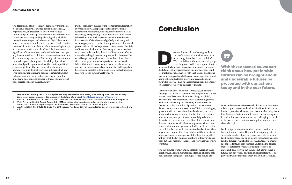- 3 At the time of writing, the EU is strongly supporting deliberative democracy, civic participation, and the 'healthy democracy' perspective.(see. Conference on the future of europe, https://futureu.europa.eu/?locale=en)
- 4 Kuntze, L., & Fesenfeld, L. P. (2021). Citizen assemblies can enhance political feasibility of ambitious climate policies.
- 5 Wells, R., Howarth, C., & Brand-Correa, L. I. (2021). Are citizen juries and assemblies on climate change driving democratic climate policymaking? An exploration of two case studies in the United Kingdom.
- 6 Luo, C. M. (2021). The COVID-19 Crisis: The EU Recovery Fund and its Implications for European Integration–a Paradigm **Shift**

The detachment of representative democracy from the people and civil society has pushed governments, the EU, organisations, and researchers to explore new decision-making and participatory innovations.3 People's interactions are increasingly taking place digitally, which has steered innovation particularly toward digital democratic tools. The strong EU emphasis on climate action has mainstreamed citizens' councils in an effort to create legitimacy for climate action in national and local decision-making.4,5 Significant efforts have been made to bind these participatory innovations into traditional representative democratic decision-making structures. The use of participatory innovations has generally improved the ability of politics to understand public opinion and use that to steer political actors in equalising the uneven benefits of ongoing economic developments. Critics in 2040 still argue that new civic participation is driving politics to extremely superficial solutions, and through that, covering up complex underlying questions. Some refer to this as the new rise of pork-barrel politics in the 21st century.

oes our future hold moderate growth, a successful economic transformation, or an increasingly inwards-oriented politics?<br>Who - individuals, the state, societal group - has the power to affect development traje tories, and successful economic transformation, or an increasingly inwards-oriented politics? Who - individuals, the state, societal groups - has the power to affect development trajec-

Despite the relative success of the economic transformation in producing new European projects and investments towards carbon neutrality and circular economies, dissatisfaction is growing amongst those born in the 2000s.<sup>6</sup> They believe climate action has been inadequate, as emissions have been insufficiently reduced globally, with many old technologies, such as combustion engines and coal-powered power stations still in ubiquitous use. Awareness of this 'failure' is creating doubts about democracy and extant societal structures. In the Nordics, there is a self-perception of a virtuous silo basking in its own progress, whilst the rest of the world is experiencing increased climate breakdown that is to affect future generations. Irrespective of this, many still believe that new technologies and market mechanisms can provide responses to crucial environmental challenges. Politics is slowly expected to follow and create the technological base for a carbon-neutral world by 2070.

With these scenarios, we can think about how preferable futures can be brought about and undesirable futures be prevented with our actions today and in the near future.

the future is always grounded in existing knowledge and assumptions. The scenarios, with the baseline and alternative future images, hopefully serve to raise questions about how politics and selected interventions can shape our future trajectories - despite these interventions depending on a variety of factors and drivers of change.

Democracy and the institutions, processes, and actors it encompasses, of course cannot have a single unified future. Rather, we will see local phenomena alongside global, national, and local interpretations of overarching themes. At the time of writing, our planetary boundaries have shaped our collective political priorities in an unprecedented manner. For the governance of digital technologies, questions will be raised about broader themes, such as non-discrimination, economic implications, and privacy, but also about new specific contexts and digital tools as they arise. At the same time, it is difficult to estimate how these developments will affect society, create winners and losers, and how these dynamics will affect societal relations and politics. We can work to understand and estimate these ongoing developments as they unfold, but there must also be preparedness for unexpected shifts along the way. It is unlikely that the key political questions of today will disappear, but their meaning, salience, and relevance will evolve over time.

The importance of independent research in raising these questions, challenging crystallised ideas, and finding solutions cannot be emphasised enough. Hence, future-ori-



ented and transformative research also plays an important role in supporting societal and political imagination about future trajectories. The scenarios have aimed to bring to the fore themes of the future and its uncertainties as they arise in academic discussions, whilst also challenging the reader to themselves question these assumptions and read more about the topic.

We do not present recommended courses of action on the basis of these scenarios. That would be inappropriate, since an infinite number of possible scenarios could be formulated, and our scenarios by no means exhaustively encapsulate the different realistic trajectories. Instead, we encourage the reader to, in each scenario, underline the development trajectories they consider either preferable or unwanted. This way, we can think about how preferable futures can be brought about and undesirable futures be prevented with our actions today and in the near future.

## Conclusion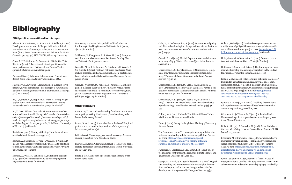## **Bibliography**

### BIBU publications utilised in this report

Allern, S., Blach-Ørsten, M., Kantola, A., & Pollack, E. (2021). Development trends and challenges in Nordic political journalism. In E. Skogerbø, Ø. Ihlen, N. N. Kristensen, & L. Nord (Eds.), *Power, Communication, and Politics in the Nordic Countries* (pp. 135-154). NORDICOM, Göteborg University.

Chen, T. H. Y., Salloum, A., Gronow, A., Ylä-Anttila, T., & Kivelä, M.(2021). Polarization of climate politics results from partisan sorting: Evidence from Finnish Twittersphere. *Global Environmental Change*, 71

Fornaro, P. (2021). Politician Polarisation in Finland over Recent Years. *Elinkeinoelämän Tutkimuslaitos ETLA*

Haapajärvi, L., Juvenius, J., & Junnilainen, L. (2021). Hyvä naapuri, hyvä Suomalainen - Erontekojen ja kuulumisen käytännöt Helsingin monietnisillä asuinalueilla. *Sosiologia,*  57(4) [in Finnish]

Im, Z., Kantola, A., Kauppinen, T., Wass, H. (2020). Neljän kuplan kansa : miten suomalaiset äänestävät? *Tackling Biases and Bubbles in Participation.* 5/2019. [in Finnish]

Im, Z. (2021). Uhatut Duunarit: Miten automaation uhka muuttaa äänestämistä? [Policy brief; see also: *Status decline and welfare competition worries from an automating world of work : the implications of automation risk on support for benefit conditionality policies and party choice*, PhD Thesis, University of Helsinki] [in Finnish]

Kantola, A. (2020). Gloomy at the top: How the wealthiest 0.1% feel about the rest. *Sociology*, *54*(5)

Kantola, A., Saikkonen, P., Vesa, J., Wass, H., & Ahva, T. D. (2020). Kansalaiset koronakriisin kourissa: Mitä poliittisia toimia kannatetaan? *Tackling Biases and Bubbles in Participation.* 3/2020. [in Finnish]

Kantola, A., Wass, H., Lahtinen, H., Peltoniemi, J.& Heikkilä, T. (2019): *Vaalinavigaattori. Katso mistä löytyy eniten käyttämättömiä ääniä.* [in Finnish]

Mannevuo, M. (2020): Onko politiikka liian kuluttava intohimotyö? *Tackling Biases and Bubbles in Participation,* 2/2020. [in Finnish]

Saikkonen, P., Kauppinen, T., & Wass, H. (2020). Sotupuntari: Suuntia sosiaaliturvan uudistukseen. *Tackling Biases and Bubbles in Participation,* 4/2020.

Wass, H., Ahva, T. D., Kantola, A., Saikkonen, P., Vesa, J., & Ylä-Anttila, T. (2021). Päättäjät Politiikan pyörteissä: Näkemyksiä ilmastopolitiikasta, demokratiasta, ja päätöksentekoon vaikuttamisesta. *Tackling Biases and Bubbles in Participation*. 7/2021

Wass, H., Weckroth, M., Kantola, A., Kuusela, H., & Kemppainen, T. (2021). Tulot tai ulos? Tulotason yhteys suomalaisten asenteisiin tulo- ja varallisuuserojen hyväksyttävyydestä ja sosiaalietuuksien järjestämisestä. *Yhteiskuntapolitiikka*, *86*(3), 1-13 [in Finnish]

### Other literature

Aitamurto, T. (2012). Crowdsourcing for democracy: A new era in policy-making. *Publications of the Committee for the Future, Parliament of Finland,* 1.

Huttunen, J., & Albrecht, E. (2021). The framing of environmental citizenship and youth participation in the Fridays for Future Movement in Finland. *Fennia*, *199*(1).

Barma, N. et al (2009). A world without the West? Empirical patterns and theoretical implications. *Chinese journal of international politics*, *2*(4)

Bell, D. (1973). *The coming of post-industrial society: A venture in social forecasting*. New York: Basic Books.

Bherer, L., Dufour, P., & Montambeault, F. (2016). The participatory democracy turn: an introduction. *Journal of civil society*, *12*(3), 225-230.

Bridle, J. (2018). *New dark age: Technology and the end of the future*. Verso Books.

Calel, R., & Dechezleprêtre, A. (2016). Environmental policy and directed technological change: evidence from the European carbon market. Review of economics and statistics, 98(1), 173-191.

Cantell, T. et al (2019). Helsinki's present state and development 2019. *City of Helsinki, Executive Office, Urban Research and Statistics.* 

Christensen, H. S., Karjalainen, M., & Nurminen, L. (2015). Does crowdsourcing legislation increase political legitimacy? The case of Avoin Ministeriö in Finland. *Policy & Internet*, *7*(1), 25-45.

Christensen, H. S., Jäske, M., Setälä, M., & Laitinen, E. (2016). Demokraattiset innovaatiot Suomessa–Käyttö ja vaikutukset paikallisella ja valtakunnallisella tasolla. *Valtioneuvoston Kanslia*, 56/2016. [in Finnish]

Christensen, H. S., Jäske, M., Setälä, M., & Laitinen, E. (2017). The Finnish Citizens' Initiative: Towards Inclusive Agenda-setting?. *Scandinavian Political Studies*, *40*(4), 411- 433.

Collin, J. et al (2015). Finland - The Silicon Valley of Industrial Internet. *Valtioneuvoston Kanslia.*

Dunn, J. (2006). *Setting the People Free: The Story of Democracy.* Atlantic Books

The Economist (2019). Technology is making inflation statistics an unreliable guide to the economy. Online. Accessible from: https://www.economist.com/specialreport/2019/10/10/technology-is-making-inflationstatistics-an-unreliable-guide-to-the-economy

Fagerberg, J., Laestadius, S., & Martin, B. R. (2016). The triple challenge for Europe: the economy, climate change, and governance. *Challenge*, *59*(3), 178-204.

George, G., Merrill, R. K., & Schillebeeckx, S. J. (2021). Digital sustainability and entrepreneurship: How digital innovations are helping tackle climate change and sustainable development. *Entrepreneurship Theory and Practice*, *45*(5)

Hiilamo, Heikki (2021) Tutkimukseen perustuvan asiantuntijati*edon käyttö päätöksenteossa: esimerkkinä sote-uudistus.* Hallinnon tutkimus 40(2): 111 - 128. https://journal.fi/ hallinnontutkimus/article/view/110879 [in Finnish]

Holopainen, M., & Nordström, L. (2020). Suomeen tarvitaan kattava lobbausrekisteri. *Verde*. [in Finnish]

Isotalo, V. et al (2020): Polarisoituuko politiikka Suomessa? Puolueiden äänestäjäkuntien arvosiirtymät 2003–2019, julkaisussa Borg, S. et al (eds..): *Politiikan Ilmastonmuutos. Eduskuntavaalitutkimus 2019*. Oikeusministeriön julkaisuja 2020:5, 288-307 (s. 291) [in Finnish] https://julkaisut. valtioneuvosto.fi/bitstream/handle/10024/162429/ OM\_2020\_05\_SO.pdf ?sequence=1&isAllowed=y

Kantola, A. & Harju, A. A. (2021). 'Tackling the emotional toll together: How journalists address harassment with connective practices', *Journalism*, 2021.

Kekkonen, A., ja Ylä-Anttila, T. (2021): Affective blocks: Understanding affective polarisation in multi-party systems. *Electoral Studies*, 72.

Kelly, K., Merry, J., & Gonzalez, M. (2018). Trust, Collaboration and Well-Being: Lessons Learned from Finland. *SRATE Journal*, *27*(2), 34-39.

Kiviniemi, M. & Kurjenoja, J. (2021). Digiostaminen kasvoi Suomessa yli viidenneksellä – kotimainen verkkokauppa valtasi markkinoita. *Kaupan Liitto. Online.* [in Finnish] *Accesible from:* https://kauppa.fi/uutishuone/2021/03/18/ digiostaminen-kasvoi-suomessa-yli-viidenneksellakotimainen-verkkokauppa-valtasi-markkinoita/

Komp-Leukkunen, K., & Rantanen, V. (2021). A Case of Intergenerational Conflict: The 2015 Finnish Citizens' Initiative on Pension Indexation. *Journal of Aging & Social Policy*.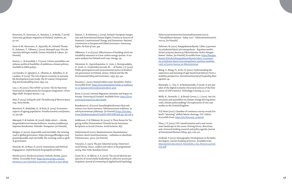42 43

Kotavaara, N., Kotavaara, O., Rusanen, J., & Muilu, T. (2018). University graduate migration in Finland. *Geoforum*, *96*, 97-107.

Koste O-W., Neuvonen, A., Nyyssölä, M., Schmid-Thomé, K., Suhonen, T., Villanen, J. (2022). *Metropoli 2030. Viisi ske naarioita Helsingin seudulle*. Demos Helsinki & Labore. [in Finnish]

Kuntze, L., & Fesenfeld, L. P. (2021). Citizen assemblies can enhance political feasibility of ambitious climate policies. *Available at SSRN 3918532* .

Lavrinenko, O., Ignatjeva, S., Ohotina, A., Rybalkin, O., & Lazdans, D. (2019). The role of green economy in sustaina ble development (case study: the EU states). *Entrepreneur ship and Sustainability Issues*, *6*(3), 1113.

Luo, C. M. (2021). The COVID-19 Crisis: The EU Recovery Fund and its Implications for European Integration–a Para digm Shift. *European Review*, 1-19.

Mair, P. (2013). *Ruling the void: The hollowing of Western democ racy*. Verso Books.

Marešová, P., Mohelská, H., & Kuča, K. (2015). Economics aspects of ageing population. *Procedia economics and finance*, *23*, 534-538.

Mäenpää, P. & Faehnle, M. (2016). *Neljäs sektori — Kuinka kaupunkiaktivismi haastaa hallinnon, muuttaa markkinat ja laajentaa demokratiaa*. Helsinki: Vastapaino. [in Finnish]

Mulgan, G. (2020). Impossible and inevitable: the twisting road to global governance. https://www.geoffmulgan.com/ post/impossible-and-inevitable-the-twisting-road-to-glob al-governance

Nemčok, M., & Wass, H. (2021): Generations and Political Engagement. *Oxford Research Encyclopedia of Politics*.

Nordea (2021). Nordea Economic Outlook*. Nordea,* 3/2021. Online. Accessible from: https://www.nordea.com/en/ press/2021-09-01/nordea-economic-outlook-a-new-phase

Ojanen, T., & Salminen, J. (2019). Finland: European Integra tion and International Human Rights Treaties as Sources of Domestic Constitutional Change and Dynamism. *National Constitutions in European and Global Governance: Democracy, Rights, the Rule of Law*, 359.

Olkkonen, V. et al (2021). Effectiveness of building stock sus tainability measures in a low-carbon energy system: A sce nario analysis for Finland until 2050. *Energy*, *235*

Paloniemi, R., Apostolopoulou, E., Cent, J., Bormpoudakis, D., Scott, A., Grodzińska-Jurczak, M., ... & Pantis, J. D. (2015). Public participation and environmental justice in biodiver sity governance in Finland, Greece, Poland and the UK. *Environmental Policy and Governance*, *25*(5), 330-342.

Parsama, L. (2021). Kansainväliset asiat. *Kuntaliitto*. Online. Accessible from: https://www.kuntaliitto.fi/laki-ja-hallinto/ eu-ja-kansainvalisyys/kansainvaliset-asiat

Rowe, F. (2020). Internal Migration Intensity and Impact in Europe. *University of Liverpool. A*vailable from: <u>https://livre-</u> pository.liverpool.ac.uk/3118368/

Ruuskanen et. al (2020): *Kansalaisyhteiskunnan tila ja tule vaisuus 2020-luvun Suomessa.* Valtioneuvoston tutkimus- ja selvitystoiminnan julkaisuja. [in Finnish] <u>https://tietokay-</u> ttoon.fi/julkaisut/raportti?pubid=URN:ISBN:978-952-287-918-9

Saikkonen, P. & Ylikännö, M. (2020). Is There Room for Tar geting within Universalism? Finnish Social Assistance Recipients as Social Citizens. *Social Inclusion,* 8(1)

Sisäministeriö (2021). Maahanmuuton tilannekatsaus: Suomen väestö monimuotoistuu – vaihtelua on alueittain. *Valtioneuvosto,* 1/2021. [in Finnish]

Touraine, A. (1971). *The post-industrial society: Tomorrow's social history: classes, conflicts and culture in the programmed society*. New York: Random House.

Uysal, M. S., & Akfırat, S. A. (2021). The social identity per spective of social media leadership in collective action par ticipation. *Journal of Community & Applied Social Psychology* .

Valtiovarainministeriön kansantalousosasto (2021). "Taloudellinen Katsaus - Syksy 2021". *Valtiovarainministeriö,*  2021:51. [in Finnish]

Valtonen, M. (2021). Kauppakamarikysely: Lähes 75 prosent tia yrityksistä kärsii työvoimapulasta – Rajoittaa merkit tävästi yritysten kasvua ja liiketoimintaa. *Keskus-Kauppa*  k*amari.* Online, [in Finnish] Accesible from: <u>https://kauppa-</u> kamari.fi/tiedote/kauppakamarikysely-lahes-75-prosent tia-yrityksista-karsii-tyovoimapulasta-rajoittaa-merkitta vasti-yritysten-kasvua-ja-liiketoimintaa/

Wang, Y., Wang, H., & Xu, H. (2021). Understanding the experience and meaning of app-based food delivery from a mobility perspective. *International Journal of Hospitality Man agement*, *99.*

Watanabe, C., Tou, Y., & Neittaanmäki, P. (2018). A new par adox of the digital economy-Structural sources of the limi tation of GDP statistics. *Technology in Society*, *55*, 9-23.

Wells, R., Howarth, C., & Brand-Correa, L. I. (2021). Are citi zen juries and assemblies on climate change driving demo cratic climate policymaking? An exploration of two case studies in the United Kingdom.

YLE News (2021). Chamber of commerce survey reveals Fin land's "alarming" skilled-labour shortage. *YLE*. Online. Accessible from: https://yle.fi/news/3-12082626

Zhan, J. X. (2021). GVC transformation and a new invest ment landscape in the 2020s: Driving forces, directions, and a forward-looking research and policy agenda. *Journal of International Business Policy*, *4*(2), 206-220.

Zvidriņš, P. (2012). Demographic Development in the Baltic Sea Region. *Latvian Academy of Sciences.* Available from: http://archive.lza.lv/LZA\_VestisA/66\_5-6/5\_Peteris%20Zvid rins.pdf